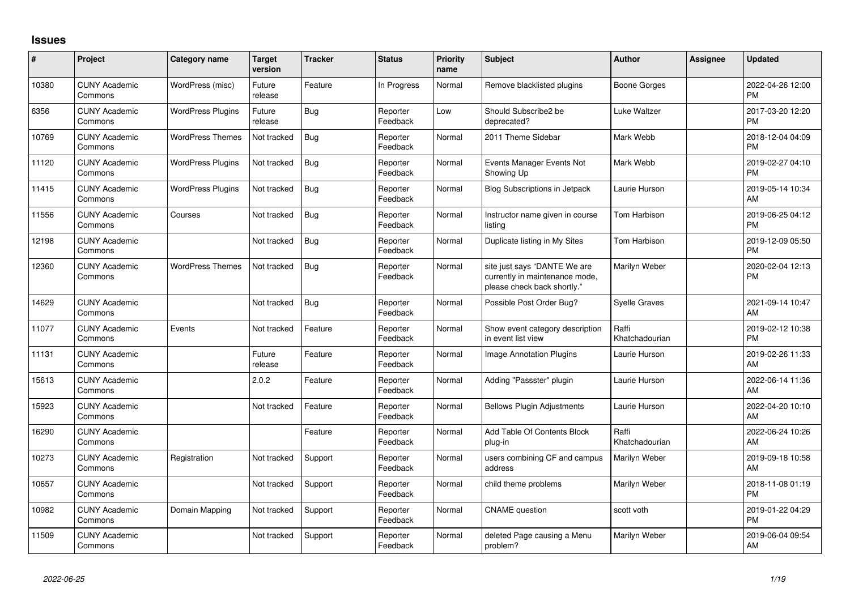## **Issues**

| #     | Project                         | <b>Category name</b>     | <b>Target</b><br>version | <b>Tracker</b> | <b>Status</b>        | <b>Priority</b><br>name | <b>Subject</b>                                                                                | Author                  | <b>Assignee</b> | <b>Updated</b>                |
|-------|---------------------------------|--------------------------|--------------------------|----------------|----------------------|-------------------------|-----------------------------------------------------------------------------------------------|-------------------------|-----------------|-------------------------------|
| 10380 | <b>CUNY Academic</b><br>Commons | WordPress (misc)         | Future<br>release        | Feature        | In Progress          | Normal                  | Remove blacklisted plugins                                                                    | Boone Gorges            |                 | 2022-04-26 12:00<br><b>PM</b> |
| 6356  | <b>CUNY Academic</b><br>Commons | <b>WordPress Plugins</b> | Future<br>release        | Bug            | Reporter<br>Feedback | Low                     | Should Subscribe2 be<br>deprecated?                                                           | Luke Waltzer            |                 | 2017-03-20 12:20<br><b>PM</b> |
| 10769 | <b>CUNY Academic</b><br>Commons | <b>WordPress Themes</b>  | Not tracked              | Bug            | Reporter<br>Feedback | Normal                  | 2011 Theme Sidebar                                                                            | Mark Webb               |                 | 2018-12-04 04:09<br><b>PM</b> |
| 11120 | <b>CUNY Academic</b><br>Commons | <b>WordPress Plugins</b> | Not tracked              | <b>Bug</b>     | Reporter<br>Feedback | Normal                  | Events Manager Events Not<br>Showing Up                                                       | Mark Webb               |                 | 2019-02-27 04:10<br><b>PM</b> |
| 11415 | <b>CUNY Academic</b><br>Commons | <b>WordPress Plugins</b> | Not tracked              | Bug            | Reporter<br>Feedback | Normal                  | <b>Blog Subscriptions in Jetpack</b>                                                          | Laurie Hurson           |                 | 2019-05-14 10:34<br>AM        |
| 11556 | <b>CUNY Academic</b><br>Commons | Courses                  | Not tracked              | Bug            | Reporter<br>Feedback | Normal                  | Instructor name given in course<br>listing                                                    | Tom Harbison            |                 | 2019-06-25 04:12<br><b>PM</b> |
| 12198 | <b>CUNY Academic</b><br>Commons |                          | Not tracked              | Bug            | Reporter<br>Feedback | Normal                  | Duplicate listing in My Sites                                                                 | Tom Harbison            |                 | 2019-12-09 05:50<br><b>PM</b> |
| 12360 | <b>CUNY Academic</b><br>Commons | <b>WordPress Themes</b>  | Not tracked              | Bug            | Reporter<br>Feedback | Normal                  | site just says "DANTE We are<br>currently in maintenance mode,<br>please check back shortly." | Marilyn Weber           |                 | 2020-02-04 12:13<br>PM        |
| 14629 | <b>CUNY Academic</b><br>Commons |                          | Not tracked              | Bug            | Reporter<br>Feedback | Normal                  | Possible Post Order Bug?                                                                      | <b>Syelle Graves</b>    |                 | 2021-09-14 10:47<br>AM        |
| 11077 | <b>CUNY Academic</b><br>Commons | Events                   | Not tracked              | Feature        | Reporter<br>Feedback | Normal                  | Show event category description<br>in event list view                                         | Raffi<br>Khatchadourian |                 | 2019-02-12 10:38<br><b>PM</b> |
| 11131 | <b>CUNY Academic</b><br>Commons |                          | Future<br>release        | Feature        | Reporter<br>Feedback | Normal                  | <b>Image Annotation Plugins</b>                                                               | Laurie Hurson           |                 | 2019-02-26 11:33<br>AM        |
| 15613 | <b>CUNY Academic</b><br>Commons |                          | 2.0.2                    | Feature        | Reporter<br>Feedback | Normal                  | Adding "Passster" plugin                                                                      | Laurie Hurson           |                 | 2022-06-14 11:36<br>AM        |
| 15923 | <b>CUNY Academic</b><br>Commons |                          | Not tracked              | Feature        | Reporter<br>Feedback | Normal                  | <b>Bellows Plugin Adjustments</b>                                                             | Laurie Hurson           |                 | 2022-04-20 10:10<br>AM        |
| 16290 | <b>CUNY Academic</b><br>Commons |                          |                          | Feature        | Reporter<br>Feedback | Normal                  | Add Table Of Contents Block<br>plug-in                                                        | Raffi<br>Khatchadourian |                 | 2022-06-24 10:26<br>AM        |
| 10273 | <b>CUNY Academic</b><br>Commons | Registration             | Not tracked              | Support        | Reporter<br>Feedback | Normal                  | users combining CF and campus<br>address                                                      | Marilyn Weber           |                 | 2019-09-18 10:58<br>AM        |
| 10657 | <b>CUNY Academic</b><br>Commons |                          | Not tracked              | Support        | Reporter<br>Feedback | Normal                  | child theme problems                                                                          | Marilyn Weber           |                 | 2018-11-08 01:19<br><b>PM</b> |
| 10982 | <b>CUNY Academic</b><br>Commons | Domain Mapping           | Not tracked              | Support        | Reporter<br>Feedback | Normal                  | <b>CNAME</b> question                                                                         | scott voth              |                 | 2019-01-22 04:29<br><b>PM</b> |
| 11509 | <b>CUNY Academic</b><br>Commons |                          | Not tracked              | Support        | Reporter<br>Feedback | Normal                  | deleted Page causing a Menu<br>problem?                                                       | Marilyn Weber           |                 | 2019-06-04 09:54<br>AM        |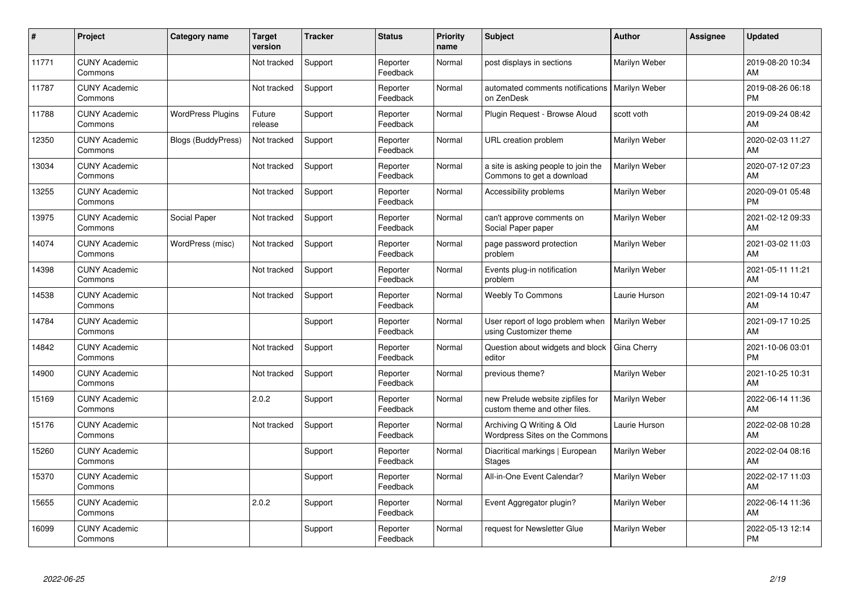| #     | Project                         | <b>Category name</b>     | <b>Target</b><br>version | <b>Tracker</b> | <b>Status</b>        | <b>Priority</b><br>name | <b>Subject</b>                                                    | Author        | <b>Assignee</b> | <b>Updated</b>                |
|-------|---------------------------------|--------------------------|--------------------------|----------------|----------------------|-------------------------|-------------------------------------------------------------------|---------------|-----------------|-------------------------------|
| 11771 | <b>CUNY Academic</b><br>Commons |                          | Not tracked              | Support        | Reporter<br>Feedback | Normal                  | post displays in sections                                         | Marilyn Weber |                 | 2019-08-20 10:34<br>AM        |
| 11787 | <b>CUNY Academic</b><br>Commons |                          | Not tracked              | Support        | Reporter<br>Feedback | Normal                  | automated comments notifications   Marilyn Weber<br>on ZenDesk    |               |                 | 2019-08-26 06:18<br><b>PM</b> |
| 11788 | <b>CUNY Academic</b><br>Commons | <b>WordPress Plugins</b> | Future<br>release        | Support        | Reporter<br>Feedback | Normal                  | Plugin Request - Browse Aloud                                     | scott voth    |                 | 2019-09-24 08:42<br>AM        |
| 12350 | <b>CUNY Academic</b><br>Commons | Blogs (BuddyPress)       | Not tracked              | Support        | Reporter<br>Feedback | Normal                  | URL creation problem                                              | Marilyn Weber |                 | 2020-02-03 11:27<br>AM        |
| 13034 | <b>CUNY Academic</b><br>Commons |                          | Not tracked              | Support        | Reporter<br>Feedback | Normal                  | a site is asking people to join the<br>Commons to get a download  | Marilyn Weber |                 | 2020-07-12 07:23<br>AM        |
| 13255 | <b>CUNY Academic</b><br>Commons |                          | Not tracked              | Support        | Reporter<br>Feedback | Normal                  | Accessibility problems                                            | Marilyn Weber |                 | 2020-09-01 05:48<br><b>PM</b> |
| 13975 | <b>CUNY Academic</b><br>Commons | <b>Social Paper</b>      | Not tracked              | Support        | Reporter<br>Feedback | Normal                  | can't approve comments on<br>Social Paper paper                   | Marilyn Weber |                 | 2021-02-12 09:33<br>AM        |
| 14074 | <b>CUNY Academic</b><br>Commons | WordPress (misc)         | Not tracked              | Support        | Reporter<br>Feedback | Normal                  | page password protection<br>problem                               | Marilyn Weber |                 | 2021-03-02 11:03<br>AM        |
| 14398 | <b>CUNY Academic</b><br>Commons |                          | Not tracked              | Support        | Reporter<br>Feedback | Normal                  | Events plug-in notification<br>problem                            | Marilyn Weber |                 | 2021-05-11 11:21<br>AM        |
| 14538 | <b>CUNY Academic</b><br>Commons |                          | Not tracked              | Support        | Reporter<br>Feedback | Normal                  | <b>Weebly To Commons</b>                                          | Laurie Hurson |                 | 2021-09-14 10:47<br>AM        |
| 14784 | <b>CUNY Academic</b><br>Commons |                          |                          | Support        | Reporter<br>Feedback | Normal                  | User report of logo problem when<br>using Customizer theme        | Marilyn Weber |                 | 2021-09-17 10:25<br>AM        |
| 14842 | <b>CUNY Academic</b><br>Commons |                          | Not tracked              | Support        | Reporter<br>Feedback | Normal                  | Question about widgets and block<br>editor                        | Gina Cherry   |                 | 2021-10-06 03:01<br><b>PM</b> |
| 14900 | <b>CUNY Academic</b><br>Commons |                          | Not tracked              | Support        | Reporter<br>Feedback | Normal                  | previous theme?                                                   | Marilyn Weber |                 | 2021-10-25 10:31<br>AM        |
| 15169 | <b>CUNY Academic</b><br>Commons |                          | 2.0.2                    | Support        | Reporter<br>Feedback | Normal                  | new Prelude website zipfiles for<br>custom theme and other files. | Marilyn Weber |                 | 2022-06-14 11:36<br>AM        |
| 15176 | <b>CUNY Academic</b><br>Commons |                          | Not tracked              | Support        | Reporter<br>Feedback | Normal                  | Archiving Q Writing & Old<br>Wordpress Sites on the Commons       | Laurie Hurson |                 | 2022-02-08 10:28<br>AM        |
| 15260 | <b>CUNY Academic</b><br>Commons |                          |                          | Support        | Reporter<br>Feedback | Normal                  | Diacritical markings   European<br><b>Stages</b>                  | Marilyn Weber |                 | 2022-02-04 08:16<br>AM        |
| 15370 | <b>CUNY Academic</b><br>Commons |                          |                          | Support        | Reporter<br>Feedback | Normal                  | All-in-One Event Calendar?                                        | Marilyn Weber |                 | 2022-02-17 11:03<br>AM        |
| 15655 | <b>CUNY Academic</b><br>Commons |                          | 2.0.2                    | Support        | Reporter<br>Feedback | Normal                  | Event Aggregator plugin?                                          | Marilyn Weber |                 | 2022-06-14 11:36<br>AM        |
| 16099 | <b>CUNY Academic</b><br>Commons |                          |                          | Support        | Reporter<br>Feedback | Normal                  | request for Newsletter Glue                                       | Marilyn Weber |                 | 2022-05-13 12:14<br><b>PM</b> |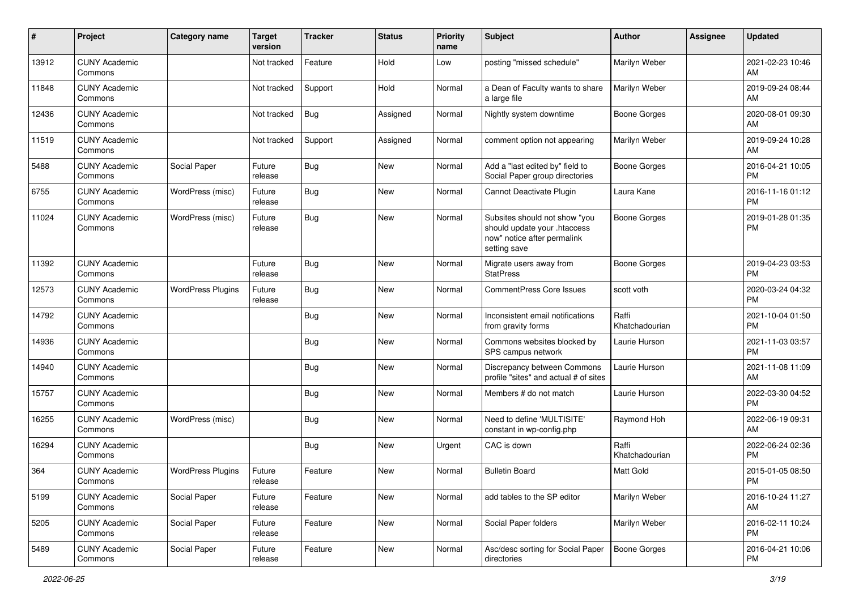| #     | Project                         | <b>Category name</b>     | Target<br>version | <b>Tracker</b> | <b>Status</b> | <b>Priority</b><br>name | <b>Subject</b>                                                                                               | <b>Author</b>           | <b>Assignee</b> | <b>Updated</b>                |
|-------|---------------------------------|--------------------------|-------------------|----------------|---------------|-------------------------|--------------------------------------------------------------------------------------------------------------|-------------------------|-----------------|-------------------------------|
| 13912 | <b>CUNY Academic</b><br>Commons |                          | Not tracked       | Feature        | Hold          | Low                     | posting "missed schedule"                                                                                    | Marilyn Weber           |                 | 2021-02-23 10:46<br>AM        |
| 11848 | <b>CUNY Academic</b><br>Commons |                          | Not tracked       | Support        | Hold          | Normal                  | a Dean of Faculty wants to share<br>a large file                                                             | Marilyn Weber           |                 | 2019-09-24 08:44<br>AM        |
| 12436 | <b>CUNY Academic</b><br>Commons |                          | Not tracked       | Bug            | Assigned      | Normal                  | Nightly system downtime                                                                                      | <b>Boone Gorges</b>     |                 | 2020-08-01 09:30<br>AM        |
| 11519 | <b>CUNY Academic</b><br>Commons |                          | Not tracked       | Support        | Assigned      | Normal                  | comment option not appearing                                                                                 | Marilyn Weber           |                 | 2019-09-24 10:28<br>AM        |
| 5488  | <b>CUNY Academic</b><br>Commons | Social Paper             | Future<br>release | <b>Bug</b>     | <b>New</b>    | Normal                  | Add a "last edited by" field to<br>Social Paper group directories                                            | <b>Boone Gorges</b>     |                 | 2016-04-21 10:05<br><b>PM</b> |
| 6755  | <b>CUNY Academic</b><br>Commons | WordPress (misc)         | Future<br>release | Bug            | New           | Normal                  | Cannot Deactivate Plugin                                                                                     | Laura Kane              |                 | 2016-11-16 01:12<br><b>PM</b> |
| 11024 | <b>CUNY Academic</b><br>Commons | WordPress (misc)         | Future<br>release | <b>Bug</b>     | <b>New</b>    | Normal                  | Subsites should not show "you<br>should update your .htaccess<br>now" notice after permalink<br>setting save | <b>Boone Gorges</b>     |                 | 2019-01-28 01:35<br><b>PM</b> |
| 11392 | <b>CUNY Academic</b><br>Commons |                          | Future<br>release | <b>Bug</b>     | New           | Normal                  | Migrate users away from<br><b>StatPress</b>                                                                  | <b>Boone Gorges</b>     |                 | 2019-04-23 03:53<br><b>PM</b> |
| 12573 | <b>CUNY Academic</b><br>Commons | <b>WordPress Plugins</b> | Future<br>release | Bug            | <b>New</b>    | Normal                  | <b>CommentPress Core Issues</b>                                                                              | scott voth              |                 | 2020-03-24 04:32<br><b>PM</b> |
| 14792 | <b>CUNY Academic</b><br>Commons |                          |                   | Bug            | <b>New</b>    | Normal                  | Inconsistent email notifications<br>from gravity forms                                                       | Raffi<br>Khatchadourian |                 | 2021-10-04 01:50<br><b>PM</b> |
| 14936 | <b>CUNY Academic</b><br>Commons |                          |                   | <b>Bug</b>     | New           | Normal                  | Commons websites blocked by<br>SPS campus network                                                            | Laurie Hurson           |                 | 2021-11-03 03:57<br><b>PM</b> |
| 14940 | <b>CUNY Academic</b><br>Commons |                          |                   | Bug            | New           | Normal                  | Discrepancy between Commons<br>profile "sites" and actual # of sites                                         | Laurie Hurson           |                 | 2021-11-08 11:09<br>AM        |
| 15757 | <b>CUNY Academic</b><br>Commons |                          |                   | Bug            | <b>New</b>    | Normal                  | Members # do not match                                                                                       | Laurie Hurson           |                 | 2022-03-30 04:52<br><b>PM</b> |
| 16255 | <b>CUNY Academic</b><br>Commons | WordPress (misc)         |                   | Bug            | <b>New</b>    | Normal                  | Need to define 'MULTISITE'<br>constant in wp-config.php                                                      | Raymond Hoh             |                 | 2022-06-19 09:31<br>AM        |
| 16294 | <b>CUNY Academic</b><br>Commons |                          |                   | <b>Bug</b>     | New           | Urgent                  | CAC is down                                                                                                  | Raffi<br>Khatchadourian |                 | 2022-06-24 02:36<br><b>PM</b> |
| 364   | <b>CUNY Academic</b><br>Commons | <b>WordPress Plugins</b> | Future<br>release | Feature        | New           | Normal                  | <b>Bulletin Board</b>                                                                                        | Matt Gold               |                 | 2015-01-05 08:50<br>PM        |
| 5199  | <b>CUNY Academic</b><br>Commons | Social Paper             | Future<br>release | Feature        | New           | Normal                  | add tables to the SP editor                                                                                  | Marilyn Weber           |                 | 2016-10-24 11:27<br>AM        |
| 5205  | <b>CUNY Academic</b><br>Commons | Social Paper             | Future<br>release | Feature        | New           | Normal                  | Social Paper folders                                                                                         | Marilyn Weber           |                 | 2016-02-11 10:24<br><b>PM</b> |
| 5489  | <b>CUNY Academic</b><br>Commons | Social Paper             | Future<br>release | Feature        | New           | Normal                  | Asc/desc sorting for Social Paper<br>directories                                                             | <b>Boone Gorges</b>     |                 | 2016-04-21 10:06<br><b>PM</b> |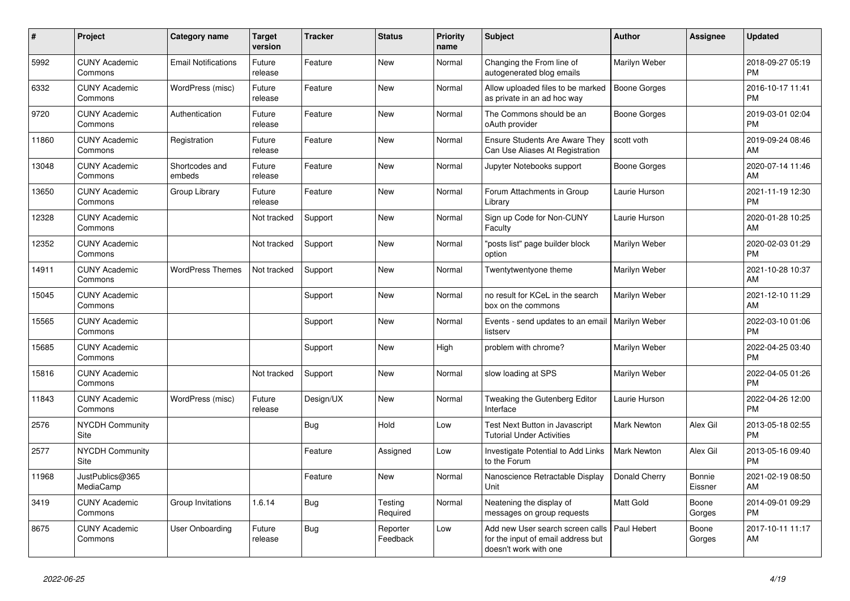| $\pmb{\sharp}$ | Project                         | Category name              | <b>Target</b><br>version | <b>Tracker</b> | <b>Status</b>        | Priority<br>name | <b>Subject</b>                                                                                  | <b>Author</b>       | Assignee          | <b>Updated</b>                |
|----------------|---------------------------------|----------------------------|--------------------------|----------------|----------------------|------------------|-------------------------------------------------------------------------------------------------|---------------------|-------------------|-------------------------------|
| 5992           | <b>CUNY Academic</b><br>Commons | <b>Email Notifications</b> | Future<br>release        | Feature        | <b>New</b>           | Normal           | Changing the From line of<br>autogenerated blog emails                                          | Marilyn Weber       |                   | 2018-09-27 05:19<br><b>PM</b> |
| 6332           | <b>CUNY Academic</b><br>Commons | WordPress (misc)           | Future<br>release        | Feature        | <b>New</b>           | Normal           | Allow uploaded files to be marked<br>as private in an ad hoc way                                | Boone Gorges        |                   | 2016-10-17 11:41<br><b>PM</b> |
| 9720           | <b>CUNY Academic</b><br>Commons | Authentication             | Future<br>release        | Feature        | New                  | Normal           | The Commons should be an<br>oAuth provider                                                      | Boone Gorges        |                   | 2019-03-01 02:04<br><b>PM</b> |
| 11860          | <b>CUNY Academic</b><br>Commons | Registration               | Future<br>release        | Feature        | <b>New</b>           | Normal           | <b>Ensure Students Are Aware They</b><br>Can Use Aliases At Registration                        | scott voth          |                   | 2019-09-24 08:46<br>AM        |
| 13048          | <b>CUNY Academic</b><br>Commons | Shortcodes and<br>embeds   | Future<br>release        | Feature        | <b>New</b>           | Normal           | Jupyter Notebooks support                                                                       | <b>Boone Gorges</b> |                   | 2020-07-14 11:46<br>AM        |
| 13650          | <b>CUNY Academic</b><br>Commons | Group Library              | Future<br>release        | Feature        | New                  | Normal           | Forum Attachments in Group<br>Library                                                           | Laurie Hurson       |                   | 2021-11-19 12:30<br><b>PM</b> |
| 12328          | <b>CUNY Academic</b><br>Commons |                            | Not tracked              | Support        | <b>New</b>           | Normal           | Sign up Code for Non-CUNY<br>Faculty                                                            | Laurie Hurson       |                   | 2020-01-28 10:25<br>AM        |
| 12352          | <b>CUNY Academic</b><br>Commons |                            | Not tracked              | Support        | <b>New</b>           | Normal           | "posts list" page builder block<br>option                                                       | Marilyn Weber       |                   | 2020-02-03 01:29<br><b>PM</b> |
| 14911          | <b>CUNY Academic</b><br>Commons | <b>WordPress Themes</b>    | Not tracked              | Support        | <b>New</b>           | Normal           | Twentytwentyone theme                                                                           | Marilyn Weber       |                   | 2021-10-28 10:37<br>AM        |
| 15045          | <b>CUNY Academic</b><br>Commons |                            |                          | Support        | <b>New</b>           | Normal           | no result for KCeL in the search<br>box on the commons                                          | Marilyn Weber       |                   | 2021-12-10 11:29<br>AM        |
| 15565          | <b>CUNY Academic</b><br>Commons |                            |                          | Support        | <b>New</b>           | Normal           | Events - send updates to an email   Marilyn Weber<br>listserv                                   |                     |                   | 2022-03-10 01:06<br><b>PM</b> |
| 15685          | <b>CUNY Academic</b><br>Commons |                            |                          | Support        | <b>New</b>           | High             | problem with chrome?                                                                            | Marilyn Weber       |                   | 2022-04-25 03:40<br><b>PM</b> |
| 15816          | <b>CUNY Academic</b><br>Commons |                            | Not tracked              | Support        | <b>New</b>           | Normal           | slow loading at SPS                                                                             | Marilyn Weber       |                   | 2022-04-05 01:26<br><b>PM</b> |
| 11843          | <b>CUNY Academic</b><br>Commons | WordPress (misc)           | Future<br>release        | Design/UX      | <b>New</b>           | Normal           | Tweaking the Gutenberg Editor<br>Interface                                                      | Laurie Hurson       |                   | 2022-04-26 12:00<br><b>PM</b> |
| 2576           | <b>NYCDH Community</b><br>Site  |                            |                          | <b>Bug</b>     | Hold                 | Low              | <b>Test Next Button in Javascript</b><br><b>Tutorial Under Activities</b>                       | Mark Newton         | Alex Gil          | 2013-05-18 02:55<br><b>PM</b> |
| 2577           | <b>NYCDH Community</b><br>Site  |                            |                          | Feature        | Assigned             | Low              | Investigate Potential to Add Links<br>to the Forum                                              | Mark Newton         | Alex Gil          | 2013-05-16 09:40<br><b>PM</b> |
| 11968          | JustPublics@365<br>MediaCamp    |                            |                          | Feature        | New                  | Normal           | Nanoscience Retractable Display<br>Unit                                                         | Donald Cherry       | Bonnie<br>Eissner | 2021-02-19 08:50<br>AM        |
| 3419           | <b>CUNY Academic</b><br>Commons | Group Invitations          | 1.6.14                   | Bug            | Testing<br>Required  | Normal           | Neatening the display of<br>messages on group requests                                          | <b>Matt Gold</b>    | Boone<br>Gorges   | 2014-09-01 09:29<br><b>PM</b> |
| 8675           | <b>CUNY Academic</b><br>Commons | <b>User Onboarding</b>     | Future<br>release        | <b>Bug</b>     | Reporter<br>Feedback | Low              | Add new User search screen calls<br>for the input of email address but<br>doesn't work with one | Paul Hebert         | Boone<br>Gorges   | 2017-10-11 11:17<br>AM        |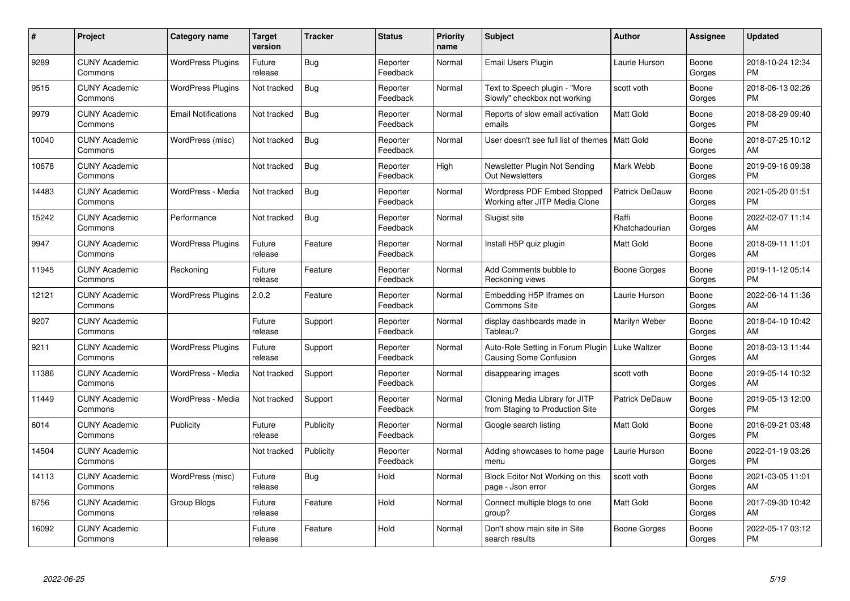| #     | Project                         | <b>Category name</b>       | <b>Target</b><br>version | <b>Tracker</b> | <b>Status</b>        | <b>Priority</b><br>name | <b>Subject</b>                                                     | <b>Author</b>           | <b>Assignee</b> | <b>Updated</b>                |
|-------|---------------------------------|----------------------------|--------------------------|----------------|----------------------|-------------------------|--------------------------------------------------------------------|-------------------------|-----------------|-------------------------------|
| 9289  | <b>CUNY Academic</b><br>Commons | <b>WordPress Plugins</b>   | Future<br>release        | Bug            | Reporter<br>Feedback | Normal                  | <b>Email Users Plugin</b>                                          | Laurie Hurson           | Boone<br>Gorges | 2018-10-24 12:34<br><b>PM</b> |
| 9515  | <b>CUNY Academic</b><br>Commons | <b>WordPress Plugins</b>   | Not tracked              | Bug            | Reporter<br>Feedback | Normal                  | Text to Speech plugin - "More<br>Slowly" checkbox not working      | scott voth              | Boone<br>Gorges | 2018-06-13 02:26<br><b>PM</b> |
| 9979  | <b>CUNY Academic</b><br>Commons | <b>Email Notifications</b> | Not tracked              | <b>Bug</b>     | Reporter<br>Feedback | Normal                  | Reports of slow email activation<br>emails                         | Matt Gold               | Boone<br>Gorges | 2018-08-29 09:40<br><b>PM</b> |
| 10040 | <b>CUNY Academic</b><br>Commons | WordPress (misc)           | Not tracked              | Bug            | Reporter<br>Feedback | Normal                  | User doesn't see full list of themes   Matt Gold                   |                         | Boone<br>Gorges | 2018-07-25 10:12<br>AM        |
| 10678 | <b>CUNY Academic</b><br>Commons |                            | Not tracked              | Bug            | Reporter<br>Feedback | High                    | Newsletter Plugin Not Sending<br><b>Out Newsletters</b>            | Mark Webb               | Boone<br>Gorges | 2019-09-16 09:38<br><b>PM</b> |
| 14483 | <b>CUNY Academic</b><br>Commons | WordPress - Media          | Not tracked              | Bug            | Reporter<br>Feedback | Normal                  | Wordpress PDF Embed Stopped<br>Working after JITP Media Clone      | Patrick DeDauw          | Boone<br>Gorges | 2021-05-20 01:51<br><b>PM</b> |
| 15242 | <b>CUNY Academic</b><br>Commons | Performance                | Not tracked              | <b>Bug</b>     | Reporter<br>Feedback | Normal                  | Slugist site                                                       | Raffi<br>Khatchadourian | Boone<br>Gorges | 2022-02-07 11:14<br>AM        |
| 9947  | <b>CUNY Academic</b><br>Commons | <b>WordPress Plugins</b>   | Future<br>release        | Feature        | Reporter<br>Feedback | Normal                  | Install H5P quiz plugin                                            | Matt Gold               | Boone<br>Gorges | 2018-09-11 11:01<br>AM        |
| 11945 | <b>CUNY Academic</b><br>Commons | Reckoning                  | Future<br>release        | Feature        | Reporter<br>Feedback | Normal                  | Add Comments bubble to<br>Reckoning views                          | <b>Boone Gorges</b>     | Boone<br>Gorges | 2019-11-12 05:14<br><b>PM</b> |
| 12121 | <b>CUNY Academic</b><br>Commons | <b>WordPress Plugins</b>   | 2.0.2                    | Feature        | Reporter<br>Feedback | Normal                  | Embedding H5P Iframes on<br>Commons Site                           | Laurie Hurson           | Boone<br>Gorges | 2022-06-14 11:36<br>AM        |
| 9207  | <b>CUNY Academic</b><br>Commons |                            | Future<br>release        | Support        | Reporter<br>Feedback | Normal                  | display dashboards made in<br>Tableau?                             | Marilyn Weber           | Boone<br>Gorges | 2018-04-10 10:42<br>AM        |
| 9211  | <b>CUNY Academic</b><br>Commons | <b>WordPress Plugins</b>   | Future<br>release        | Support        | Reporter<br>Feedback | Normal                  | Auto-Role Setting in Forum Plugin<br><b>Causing Some Confusion</b> | Luke Waltzer            | Boone<br>Gorges | 2018-03-13 11:44<br>AM        |
| 11386 | <b>CUNY Academic</b><br>Commons | WordPress - Media          | Not tracked              | Support        | Reporter<br>Feedback | Normal                  | disappearing images                                                | scott voth              | Boone<br>Gorges | 2019-05-14 10:32<br>AM        |
| 11449 | <b>CUNY Academic</b><br>Commons | WordPress - Media          | Not tracked              | Support        | Reporter<br>Feedback | Normal                  | Cloning Media Library for JITP<br>from Staging to Production Site  | Patrick DeDauw          | Boone<br>Gorges | 2019-05-13 12:00<br><b>PM</b> |
| 6014  | <b>CUNY Academic</b><br>Commons | Publicity                  | Future<br>release        | Publicity      | Reporter<br>Feedback | Normal                  | Google search listing                                              | Matt Gold               | Boone<br>Gorges | 2016-09-21 03:48<br><b>PM</b> |
| 14504 | <b>CUNY Academic</b><br>Commons |                            | Not tracked              | Publicity      | Reporter<br>Feedback | Normal                  | Adding showcases to home page<br>menu                              | Laurie Hurson           | Boone<br>Gorges | 2022-01-19 03:26<br><b>PM</b> |
| 14113 | <b>CUNY Academic</b><br>Commons | WordPress (misc)           | Future<br>release        | Bug            | Hold                 | Normal                  | Block Editor Not Working on this<br>page - Json error              | scott voth              | Boone<br>Gorges | 2021-03-05 11:01<br>AM        |
| 8756  | <b>CUNY Academic</b><br>Commons | Group Blogs                | Future<br>release        | Feature        | Hold                 | Normal                  | Connect multiple blogs to one<br>group?                            | <b>Matt Gold</b>        | Boone<br>Gorges | 2017-09-30 10:42<br>AM        |
| 16092 | <b>CUNY Academic</b><br>Commons |                            | Future<br>release        | Feature        | Hold                 | Normal                  | Don't show main site in Site<br>search results                     | Boone Gorges            | Boone<br>Gorges | 2022-05-17 03:12<br><b>PM</b> |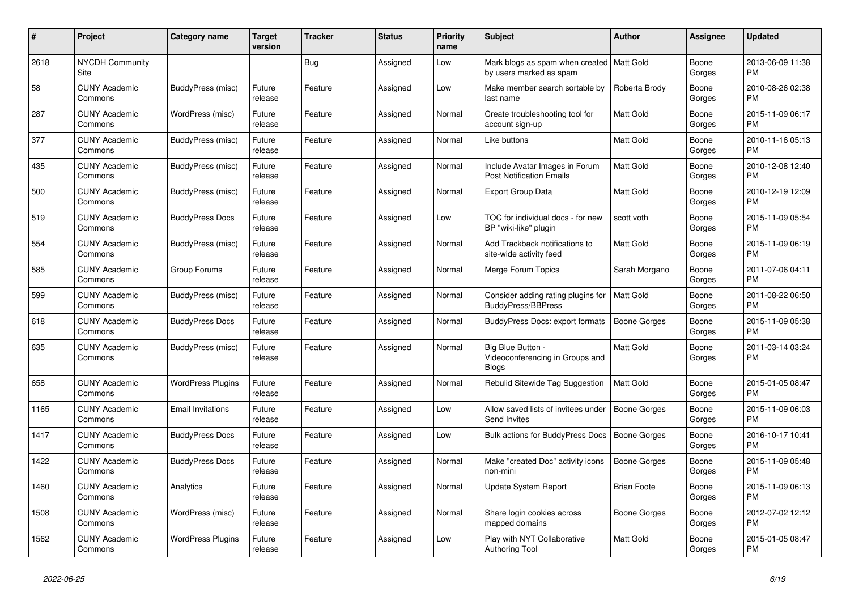| #    | Project                         | Category name            | <b>Target</b><br>version | <b>Tracker</b> | <b>Status</b> | <b>Priority</b><br>name | <b>Subject</b>                                                         | <b>Author</b>       | Assignee        | <b>Updated</b>                |
|------|---------------------------------|--------------------------|--------------------------|----------------|---------------|-------------------------|------------------------------------------------------------------------|---------------------|-----------------|-------------------------------|
| 2618 | <b>NYCDH Community</b><br>Site  |                          |                          | <b>Bug</b>     | Assigned      | Low                     | Mark blogs as spam when created   Matt Gold<br>by users marked as spam |                     | Boone<br>Gorges | 2013-06-09 11:38<br><b>PM</b> |
| 58   | <b>CUNY Academic</b><br>Commons | BuddyPress (misc)        | Future<br>release        | Feature        | Assigned      | Low                     | Make member search sortable by<br>last name                            | Roberta Brody       | Boone<br>Gorges | 2010-08-26 02:38<br><b>PM</b> |
| 287  | <b>CUNY Academic</b><br>Commons | WordPress (misc)         | Future<br>release        | Feature        | Assigned      | Normal                  | Create troubleshooting tool for<br>account sign-up                     | Matt Gold           | Boone<br>Gorges | 2015-11-09 06:17<br><b>PM</b> |
| 377  | <b>CUNY Academic</b><br>Commons | BuddyPress (misc)        | Future<br>release        | Feature        | Assigned      | Normal                  | Like buttons                                                           | Matt Gold           | Boone<br>Gorges | 2010-11-16 05:13<br><b>PM</b> |
| 435  | <b>CUNY Academic</b><br>Commons | BuddyPress (misc)        | Future<br>release        | Feature        | Assigned      | Normal                  | Include Avatar Images in Forum<br><b>Post Notification Emails</b>      | <b>Matt Gold</b>    | Boone<br>Gorges | 2010-12-08 12:40<br><b>PM</b> |
| 500  | <b>CUNY Academic</b><br>Commons | BuddyPress (misc)        | Future<br>release        | Feature        | Assigned      | Normal                  | <b>Export Group Data</b>                                               | Matt Gold           | Boone<br>Gorges | 2010-12-19 12:09<br><b>PM</b> |
| 519  | <b>CUNY Academic</b><br>Commons | <b>BuddyPress Docs</b>   | Future<br>release        | Feature        | Assigned      | Low                     | TOC for individual docs - for new<br>BP "wiki-like" plugin             | scott voth          | Boone<br>Gorges | 2015-11-09 05:54<br><b>PM</b> |
| 554  | <b>CUNY Academic</b><br>Commons | BuddyPress (misc)        | Future<br>release        | Feature        | Assigned      | Normal                  | Add Trackback notifications to<br>site-wide activity feed              | <b>Matt Gold</b>    | Boone<br>Gorges | 2015-11-09 06:19<br>PM        |
| 585  | <b>CUNY Academic</b><br>Commons | Group Forums             | Future<br>release        | Feature        | Assigned      | Normal                  | Merge Forum Topics                                                     | Sarah Morgano       | Boone<br>Gorges | 2011-07-06 04:11<br><b>PM</b> |
| 599  | <b>CUNY Academic</b><br>Commons | BuddyPress (misc)        | Future<br>release        | Feature        | Assigned      | Normal                  | Consider adding rating plugins for<br>BuddyPress/BBPress               | <b>Matt Gold</b>    | Boone<br>Gorges | 2011-08-22 06:50<br><b>PM</b> |
| 618  | <b>CUNY Academic</b><br>Commons | <b>BuddyPress Docs</b>   | Future<br>release        | Feature        | Assigned      | Normal                  | BuddyPress Docs: export formats                                        | <b>Boone Gorges</b> | Boone<br>Gorges | 2015-11-09 05:38<br><b>PM</b> |
| 635  | <b>CUNY Academic</b><br>Commons | BuddyPress (misc)        | Future<br>release        | Feature        | Assigned      | Normal                  | Big Blue Button -<br>Videoconferencing in Groups and<br><b>Blogs</b>   | Matt Gold           | Boone<br>Gorges | 2011-03-14 03:24<br><b>PM</b> |
| 658  | <b>CUNY Academic</b><br>Commons | <b>WordPress Plugins</b> | Future<br>release        | Feature        | Assigned      | Normal                  | Rebulid Sitewide Tag Suggestion                                        | <b>Matt Gold</b>    | Boone<br>Gorges | 2015-01-05 08:47<br><b>PM</b> |
| 1165 | <b>CUNY Academic</b><br>Commons | <b>Email Invitations</b> | Future<br>release        | Feature        | Assigned      | Low                     | Allow saved lists of invitees under<br>Send Invites                    | Boone Gorges        | Boone<br>Gorges | 2015-11-09 06:03<br><b>PM</b> |
| 1417 | <b>CUNY Academic</b><br>Commons | <b>BuddyPress Docs</b>   | Future<br>release        | Feature        | Assigned      | Low                     | Bulk actions for BuddyPress Docs                                       | <b>Boone Gorges</b> | Boone<br>Gorges | 2016-10-17 10:41<br><b>PM</b> |
| 1422 | <b>CUNY Academic</b><br>Commons | <b>BuddyPress Docs</b>   | Future<br>release        | Feature        | Assigned      | Normal                  | Make "created Doc" activity icons<br>non-mini                          | <b>Boone Gorges</b> | Boone<br>Gorges | 2015-11-09 05:48<br><b>PM</b> |
| 1460 | <b>CUNY Academic</b><br>Commons | Analytics                | Future<br>release        | Feature        | Assigned      | Normal                  | Update System Report                                                   | <b>Brian Foote</b>  | Boone<br>Gorges | 2015-11-09 06:13<br><b>PM</b> |
| 1508 | <b>CUNY Academic</b><br>Commons | WordPress (misc)         | Future<br>release        | Feature        | Assigned      | Normal                  | Share login cookies across<br>mapped domains                           | Boone Gorges        | Boone<br>Gorges | 2012-07-02 12:12<br><b>PM</b> |
| 1562 | <b>CUNY Academic</b><br>Commons | <b>WordPress Plugins</b> | Future<br>release        | Feature        | Assigned      | Low                     | Play with NYT Collaborative<br><b>Authoring Tool</b>                   | <b>Matt Gold</b>    | Boone<br>Gorges | 2015-01-05 08:47<br><b>PM</b> |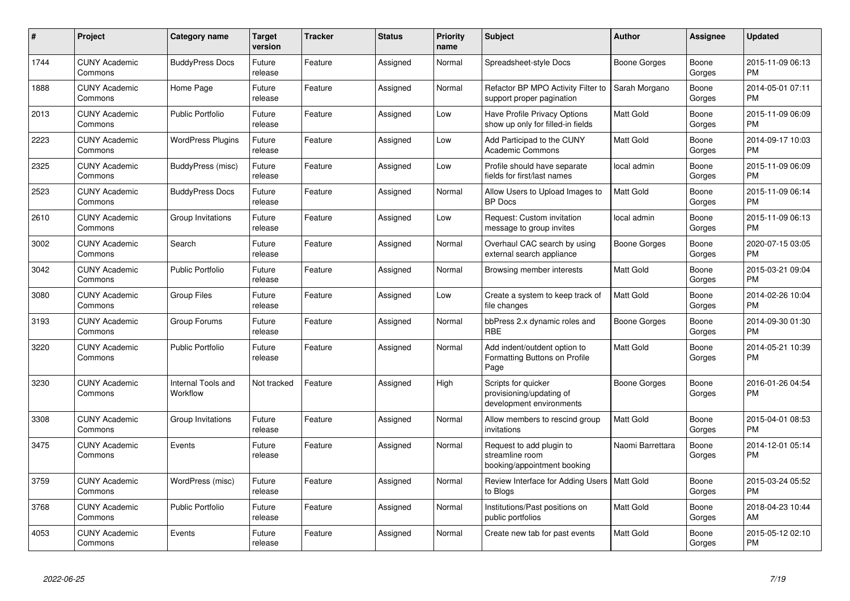| #    | Project                         | <b>Category name</b>           | <b>Target</b><br>version | <b>Tracker</b> | <b>Status</b> | <b>Priority</b><br>name | <b>Subject</b>                                                              | <b>Author</b>       | Assignee        | <b>Updated</b>                |
|------|---------------------------------|--------------------------------|--------------------------|----------------|---------------|-------------------------|-----------------------------------------------------------------------------|---------------------|-----------------|-------------------------------|
| 1744 | <b>CUNY Academic</b><br>Commons | <b>BuddyPress Docs</b>         | Future<br>release        | Feature        | Assigned      | Normal                  | Spreadsheet-style Docs                                                      | Boone Gorges        | Boone<br>Gorges | 2015-11-09 06:13<br><b>PM</b> |
| 1888 | <b>CUNY Academic</b><br>Commons | Home Page                      | Future<br>release        | Feature        | Assigned      | Normal                  | Refactor BP MPO Activity Filter to<br>support proper pagination             | Sarah Morgano       | Boone<br>Gorges | 2014-05-01 07:11<br><b>PM</b> |
| 2013 | <b>CUNY Academic</b><br>Commons | <b>Public Portfolio</b>        | Future<br>release        | Feature        | Assigned      | Low                     | Have Profile Privacy Options<br>show up only for filled-in fields           | Matt Gold           | Boone<br>Gorges | 2015-11-09 06:09<br><b>PM</b> |
| 2223 | <b>CUNY Academic</b><br>Commons | <b>WordPress Plugins</b>       | Future<br>release        | Feature        | Assigned      | Low                     | Add Participad to the CUNY<br><b>Academic Commons</b>                       | <b>Matt Gold</b>    | Boone<br>Gorges | 2014-09-17 10:03<br><b>PM</b> |
| 2325 | <b>CUNY Academic</b><br>Commons | BuddyPress (misc)              | Future<br>release        | Feature        | Assigned      | Low                     | Profile should have separate<br>fields for first/last names                 | local admin         | Boone<br>Gorges | 2015-11-09 06:09<br><b>PM</b> |
| 2523 | <b>CUNY Academic</b><br>Commons | <b>BuddyPress Docs</b>         | Future<br>release        | Feature        | Assigned      | Normal                  | Allow Users to Upload Images to<br><b>BP</b> Docs                           | <b>Matt Gold</b>    | Boone<br>Gorges | 2015-11-09 06:14<br><b>PM</b> |
| 2610 | <b>CUNY Academic</b><br>Commons | Group Invitations              | Future<br>release        | Feature        | Assigned      | Low                     | Request: Custom invitation<br>message to group invites                      | local admin         | Boone<br>Gorges | 2015-11-09 06:13<br><b>PM</b> |
| 3002 | <b>CUNY Academic</b><br>Commons | Search                         | Future<br>release        | Feature        | Assigned      | Normal                  | Overhaul CAC search by using<br>external search appliance                   | Boone Gorges        | Boone<br>Gorges | 2020-07-15 03:05<br><b>PM</b> |
| 3042 | <b>CUNY Academic</b><br>Commons | <b>Public Portfolio</b>        | Future<br>release        | Feature        | Assigned      | Normal                  | Browsing member interests                                                   | <b>Matt Gold</b>    | Boone<br>Gorges | 2015-03-21 09:04<br><b>PM</b> |
| 3080 | <b>CUNY Academic</b><br>Commons | <b>Group Files</b>             | Future<br>release        | Feature        | Assigned      | Low                     | Create a system to keep track of<br>file changes                            | Matt Gold           | Boone<br>Gorges | 2014-02-26 10:04<br><b>PM</b> |
| 3193 | <b>CUNY Academic</b><br>Commons | Group Forums                   | Future<br>release        | Feature        | Assigned      | Normal                  | bbPress 2.x dynamic roles and<br><b>RBE</b>                                 | Boone Gorges        | Boone<br>Gorges | 2014-09-30 01:30<br><b>PM</b> |
| 3220 | <b>CUNY Academic</b><br>Commons | <b>Public Portfolio</b>        | Future<br>release        | Feature        | Assigned      | Normal                  | Add indent/outdent option to<br>Formatting Buttons on Profile<br>Page       | <b>Matt Gold</b>    | Boone<br>Gorges | 2014-05-21 10:39<br><b>PM</b> |
| 3230 | <b>CUNY Academic</b><br>Commons | Internal Tools and<br>Workflow | Not tracked              | Feature        | Assigned      | High                    | Scripts for quicker<br>provisioning/updating of<br>development environments | <b>Boone Gorges</b> | Boone<br>Gorges | 2016-01-26 04:54<br><b>PM</b> |
| 3308 | <b>CUNY Academic</b><br>Commons | Group Invitations              | Future<br>release        | Feature        | Assigned      | Normal                  | Allow members to rescind group<br>invitations                               | <b>Matt Gold</b>    | Boone<br>Gorges | 2015-04-01 08:53<br><b>PM</b> |
| 3475 | <b>CUNY Academic</b><br>Commons | Events                         | Future<br>release        | Feature        | Assigned      | Normal                  | Request to add plugin to<br>streamline room<br>booking/appointment booking  | Naomi Barrettara    | Boone<br>Gorges | 2014-12-01 05:14<br><b>PM</b> |
| 3759 | <b>CUNY Academic</b><br>Commons | WordPress (misc)               | Future<br>release        | Feature        | Assigned      | Normal                  | Review Interface for Adding Users   Matt Gold<br>to Blogs                   |                     | Boone<br>Gorges | 2015-03-24 05:52<br><b>PM</b> |
| 3768 | <b>CUNY Academic</b><br>Commons | <b>Public Portfolio</b>        | Future<br>release        | Feature        | Assigned      | Normal                  | Institutions/Past positions on<br>public portfolios                         | <b>Matt Gold</b>    | Boone<br>Gorges | 2018-04-23 10:44<br>AM        |
| 4053 | <b>CUNY Academic</b><br>Commons | Events                         | Future<br>release        | Feature        | Assigned      | Normal                  | Create new tab for past events                                              | Matt Gold           | Boone<br>Gorges | 2015-05-12 02:10<br><b>PM</b> |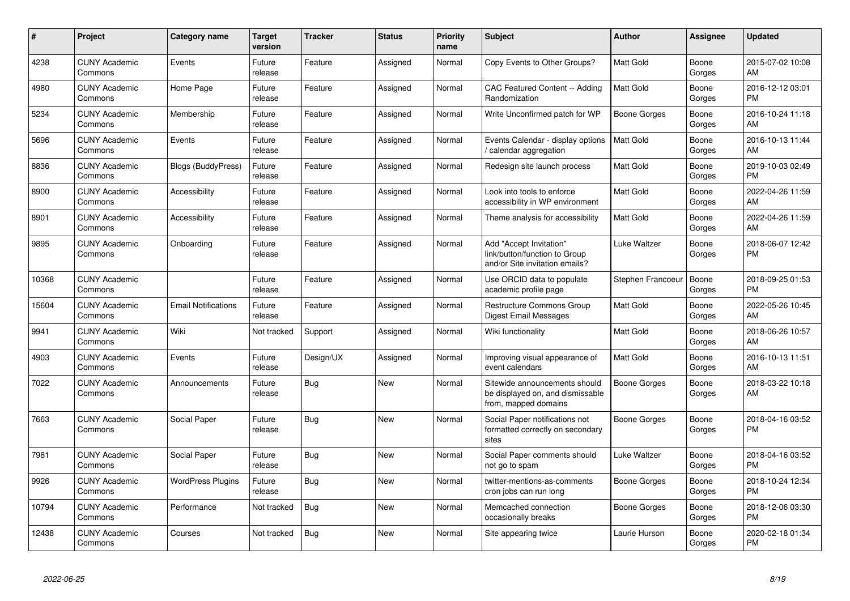| #     | Project                         | <b>Category name</b>       | <b>Target</b><br>version | <b>Tracker</b> | <b>Status</b> | <b>Priority</b><br>name | <b>Subject</b>                                                                             | <b>Author</b>     | Assignee        | <b>Updated</b>                |
|-------|---------------------------------|----------------------------|--------------------------|----------------|---------------|-------------------------|--------------------------------------------------------------------------------------------|-------------------|-----------------|-------------------------------|
| 4238  | <b>CUNY Academic</b><br>Commons | Events                     | Future<br>release        | Feature        | Assigned      | Normal                  | Copy Events to Other Groups?                                                               | <b>Matt Gold</b>  | Boone<br>Gorges | 2015-07-02 10:08<br>AM        |
| 4980  | <b>CUNY Academic</b><br>Commons | Home Page                  | Future<br>release        | Feature        | Assigned      | Normal                  | <b>CAC Featured Content -- Adding</b><br>Randomization                                     | Matt Gold         | Boone<br>Gorges | 2016-12-12 03:01<br><b>PM</b> |
| 5234  | <b>CUNY Academic</b><br>Commons | Membership                 | Future<br>release        | Feature        | Assigned      | Normal                  | Write Unconfirmed patch for WP                                                             | Boone Gorges      | Boone<br>Gorges | 2016-10-24 11:18<br>AM        |
| 5696  | <b>CUNY Academic</b><br>Commons | Events                     | Future<br>release        | Feature        | Assigned      | Normal                  | Events Calendar - display options<br>calendar aggregation                                  | <b>Matt Gold</b>  | Boone<br>Gorges | 2016-10-13 11:44<br>AM        |
| 8836  | <b>CUNY Academic</b><br>Commons | Blogs (BuddyPress)         | Future<br>release        | Feature        | Assigned      | Normal                  | Redesign site launch process                                                               | Matt Gold         | Boone<br>Gorges | 2019-10-03 02:49<br><b>PM</b> |
| 8900  | <b>CUNY Academic</b><br>Commons | Accessibility              | Future<br>release        | Feature        | Assigned      | Normal                  | Look into tools to enforce<br>accessibility in WP environment                              | Matt Gold         | Boone<br>Gorges | 2022-04-26 11:59<br>AM        |
| 8901  | <b>CUNY Academic</b><br>Commons | Accessibility              | Future<br>release        | Feature        | Assigned      | Normal                  | Theme analysis for accessibility                                                           | Matt Gold         | Boone<br>Gorges | 2022-04-26 11:59<br>AM        |
| 9895  | <b>CUNY Academic</b><br>Commons | Onboarding                 | Future<br>release        | Feature        | Assigned      | Normal                  | Add "Accept Invitation"<br>link/button/function to Group<br>and/or Site invitation emails? | Luke Waltzer      | Boone<br>Gorges | 2018-06-07 12:42<br><b>PM</b> |
| 10368 | <b>CUNY Academic</b><br>Commons |                            | Future<br>release        | Feature        | Assigned      | Normal                  | Use ORCID data to populate<br>academic profile page                                        | Stephen Francoeur | Boone<br>Gorges | 2018-09-25 01:53<br><b>PM</b> |
| 15604 | <b>CUNY Academic</b><br>Commons | <b>Email Notifications</b> | Future<br>release        | Feature        | Assigned      | Normal                  | <b>Restructure Commons Group</b><br>Digest Email Messages                                  | Matt Gold         | Boone<br>Gorges | 2022-05-26 10:45<br>AM        |
| 9941  | <b>CUNY Academic</b><br>Commons | Wiki                       | Not tracked              | Support        | Assigned      | Normal                  | Wiki functionality                                                                         | Matt Gold         | Boone<br>Gorges | 2018-06-26 10:57<br>AM        |
| 4903  | <b>CUNY Academic</b><br>Commons | Events                     | Future<br>release        | Design/UX      | Assigned      | Normal                  | Improving visual appearance of<br>event calendars                                          | Matt Gold         | Boone<br>Gorges | 2016-10-13 11:51<br>AM        |
| 7022  | <b>CUNY Academic</b><br>Commons | Announcements              | Future<br>release        | Bug            | <b>New</b>    | Normal                  | Sitewide announcements should<br>be displayed on, and dismissable<br>from, mapped domains  | Boone Gorges      | Boone<br>Gorges | 2018-03-22 10:18<br>AM        |
| 7663  | <b>CUNY Academic</b><br>Commons | Social Paper               | Future<br>release        | <b>Bug</b>     | <b>New</b>    | Normal                  | Social Paper notifications not<br>formatted correctly on secondary<br>sites                | Boone Gorges      | Boone<br>Gorges | 2018-04-16 03:52<br><b>PM</b> |
| 7981  | <b>CUNY Academic</b><br>Commons | Social Paper               | Future<br>release        | Bug            | <b>New</b>    | Normal                  | Social Paper comments should<br>not go to spam                                             | Luke Waltzer      | Boone<br>Gorges | 2018-04-16 03:52<br><b>PM</b> |
| 9926  | <b>CUNY Academic</b><br>Commons | <b>WordPress Plugins</b>   | Future<br>release        | <b>Bug</b>     | <b>New</b>    | Normal                  | twitter-mentions-as-comments<br>cron jobs can run long                                     | Boone Gorges      | Boone<br>Gorges | 2018-10-24 12:34<br><b>PM</b> |
| 10794 | <b>CUNY Academic</b><br>Commons | Performance                | Not tracked              | <b>Bug</b>     | <b>New</b>    | Normal                  | Memcached connection<br>occasionally breaks                                                | Boone Gorges      | Boone<br>Gorges | 2018-12-06 03:30<br><b>PM</b> |
| 12438 | <b>CUNY Academic</b><br>Commons | Courses                    | Not tracked              | <b>Bug</b>     | <b>New</b>    | Normal                  | Site appearing twice                                                                       | Laurie Hurson     | Boone<br>Gorges | 2020-02-18 01:34<br>PM        |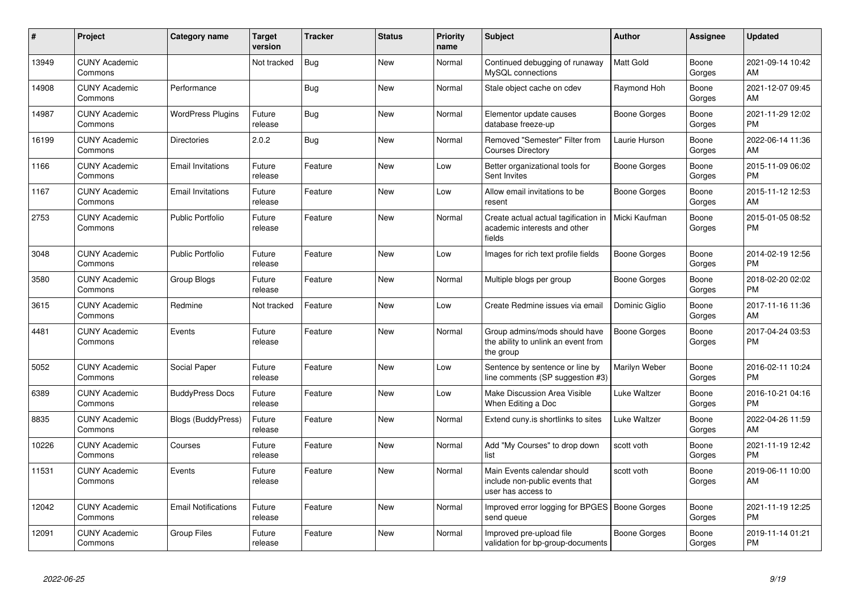| $\pmb{\sharp}$ | Project                         | <b>Category name</b>       | <b>Target</b><br>version | <b>Tracker</b> | <b>Status</b> | <b>Priority</b><br>name | Subject                                                                             | <b>Author</b>  | <b>Assignee</b> | <b>Updated</b>                |
|----------------|---------------------------------|----------------------------|--------------------------|----------------|---------------|-------------------------|-------------------------------------------------------------------------------------|----------------|-----------------|-------------------------------|
| 13949          | <b>CUNY Academic</b><br>Commons |                            | Not tracked              | <b>Bug</b>     | <b>New</b>    | Normal                  | Continued debugging of runaway<br>MySQL connections                                 | Matt Gold      | Boone<br>Gorges | 2021-09-14 10:42<br>AM        |
| 14908          | <b>CUNY Academic</b><br>Commons | Performance                |                          | <b>Bug</b>     | <b>New</b>    | Normal                  | Stale object cache on cdev                                                          | Raymond Hoh    | Boone<br>Gorges | 2021-12-07 09:45<br>AM        |
| 14987          | <b>CUNY Academic</b><br>Commons | <b>WordPress Plugins</b>   | Future<br>release        | Bug            | New           | Normal                  | Elementor update causes<br>database freeze-up                                       | Boone Gorges   | Boone<br>Gorges | 2021-11-29 12:02<br><b>PM</b> |
| 16199          | <b>CUNY Academic</b><br>Commons | <b>Directories</b>         | 2.0.2                    | <b>Bug</b>     | <b>New</b>    | Normal                  | Removed "Semester" Filter from<br><b>Courses Directory</b>                          | Laurie Hurson  | Boone<br>Gorges | 2022-06-14 11:36<br>AM        |
| 1166           | <b>CUNY Academic</b><br>Commons | <b>Email Invitations</b>   | Future<br>release        | Feature        | <b>New</b>    | Low                     | Better organizational tools for<br>Sent Invites                                     | Boone Gorges   | Boone<br>Gorges | 2015-11-09 06:02<br><b>PM</b> |
| 1167           | <b>CUNY Academic</b><br>Commons | <b>Email Invitations</b>   | Future<br>release        | Feature        | New           | Low                     | Allow email invitations to be<br>resent                                             | Boone Gorges   | Boone<br>Gorges | 2015-11-12 12:53<br>AM        |
| 2753           | <b>CUNY Academic</b><br>Commons | <b>Public Portfolio</b>    | Future<br>release        | Feature        | <b>New</b>    | Normal                  | Create actual actual tagification in<br>academic interests and other<br>fields      | Micki Kaufman  | Boone<br>Gorges | 2015-01-05 08:52<br><b>PM</b> |
| 3048           | <b>CUNY Academic</b><br>Commons | <b>Public Portfolio</b>    | Future<br>release        | Feature        | <b>New</b>    | Low                     | Images for rich text profile fields                                                 | Boone Gorges   | Boone<br>Gorges | 2014-02-19 12:56<br><b>PM</b> |
| 3580           | <b>CUNY Academic</b><br>Commons | Group Blogs                | Future<br>release        | Feature        | <b>New</b>    | Normal                  | Multiple blogs per group                                                            | Boone Gorges   | Boone<br>Gorges | 2018-02-20 02:02<br><b>PM</b> |
| 3615           | <b>CUNY Academic</b><br>Commons | Redmine                    | Not tracked              | Feature        | <b>New</b>    | Low                     | Create Redmine issues via email                                                     | Dominic Giglio | Boone<br>Gorges | 2017-11-16 11:36<br>AM        |
| 4481           | <b>CUNY Academic</b><br>Commons | Events                     | Future<br>release        | Feature        | <b>New</b>    | Normal                  | Group admins/mods should have<br>the ability to unlink an event from<br>the group   | Boone Gorges   | Boone<br>Gorges | 2017-04-24 03:53<br><b>PM</b> |
| 5052           | <b>CUNY Academic</b><br>Commons | Social Paper               | Future<br>release        | Feature        | <b>New</b>    | Low                     | Sentence by sentence or line by<br>line comments (SP suggestion #3)                 | Marilyn Weber  | Boone<br>Gorges | 2016-02-11 10:24<br><b>PM</b> |
| 6389           | <b>CUNY Academic</b><br>Commons | <b>BuddyPress Docs</b>     | Future<br>release        | Feature        | New           | Low                     | Make Discussion Area Visible<br>When Editing a Doc                                  | Luke Waltzer   | Boone<br>Gorges | 2016-10-21 04:16<br><b>PM</b> |
| 8835           | <b>CUNY Academic</b><br>Commons | <b>Blogs (BuddyPress)</b>  | Future<br>release        | Feature        | <b>New</b>    | Normal                  | Extend cuny is shortlinks to sites                                                  | Luke Waltzer   | Boone<br>Gorges | 2022-04-26 11:59<br>AM        |
| 10226          | <b>CUNY Academic</b><br>Commons | Courses                    | Future<br>release        | Feature        | <b>New</b>    | Normal                  | Add "My Courses" to drop down<br>list                                               | scott voth     | Boone<br>Gorges | 2021-11-19 12:42<br><b>PM</b> |
| 11531          | <b>CUNY Academic</b><br>Commons | Events                     | Future<br>release        | Feature        | <b>New</b>    | Normal                  | Main Events calendar should<br>include non-public events that<br>user has access to | scott voth     | Boone<br>Gorges | 2019-06-11 10:00<br>AM        |
| 12042          | <b>CUNY Academic</b><br>Commons | <b>Email Notifications</b> | Future<br>release        | Feature        | <b>New</b>    | Normal                  | Improved error logging for BPGES   Boone Gorges<br>send queue                       |                | Boone<br>Gorges | 2021-11-19 12:25<br><b>PM</b> |
| 12091          | <b>CUNY Academic</b><br>Commons | <b>Group Files</b>         | Future<br>release        | Feature        | <b>New</b>    | Normal                  | Improved pre-upload file<br>validation for bp-group-documents                       | Boone Gorges   | Boone<br>Gorges | 2019-11-14 01:21<br><b>PM</b> |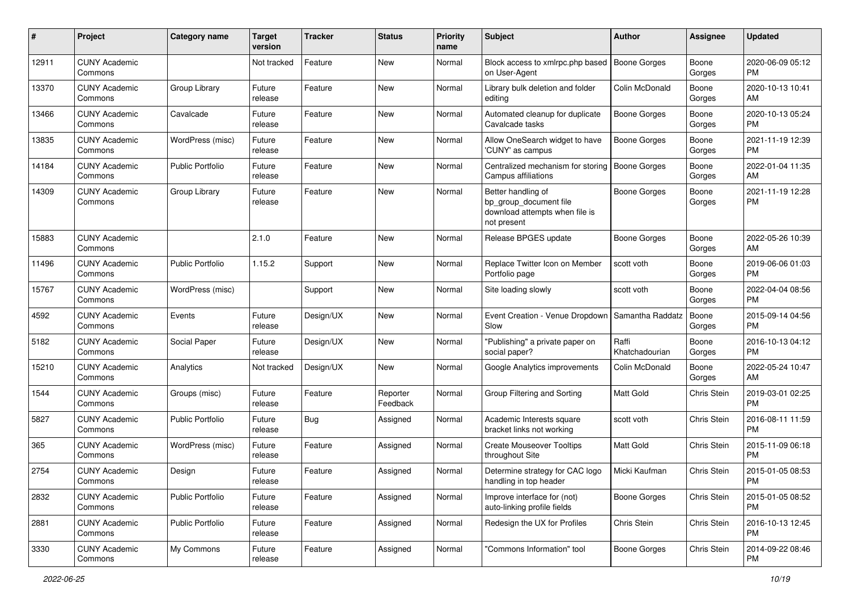| #     | Project                         | <b>Category name</b>    | <b>Target</b><br>version | <b>Tracker</b> | <b>Status</b>        | <b>Priority</b><br>name | <b>Subject</b>                                                                                | Author                  | Assignee        | <b>Updated</b>                |
|-------|---------------------------------|-------------------------|--------------------------|----------------|----------------------|-------------------------|-----------------------------------------------------------------------------------------------|-------------------------|-----------------|-------------------------------|
| 12911 | <b>CUNY Academic</b><br>Commons |                         | Not tracked              | Feature        | <b>New</b>           | Normal                  | Block access to xmlrpc.php based<br>on User-Agent                                             | <b>Boone Gorges</b>     | Boone<br>Gorges | 2020-06-09 05:12<br><b>PM</b> |
| 13370 | <b>CUNY Academic</b><br>Commons | Group Library           | Future<br>release        | Feature        | <b>New</b>           | Normal                  | Library bulk deletion and folder<br>editing                                                   | Colin McDonald          | Boone<br>Gorges | 2020-10-13 10:41<br>AM        |
| 13466 | <b>CUNY Academic</b><br>Commons | Cavalcade               | Future<br>release        | Feature        | New                  | Normal                  | Automated cleanup for duplicate<br>Cavalcade tasks                                            | <b>Boone Gorges</b>     | Boone<br>Gorges | 2020-10-13 05:24<br><b>PM</b> |
| 13835 | <b>CUNY Academic</b><br>Commons | WordPress (misc)        | Future<br>release        | Feature        | <b>New</b>           | Normal                  | Allow OneSearch widget to have<br>'CUNY' as campus                                            | Boone Gorges            | Boone<br>Gorges | 2021-11-19 12:39<br><b>PM</b> |
| 14184 | <b>CUNY Academic</b><br>Commons | <b>Public Portfolio</b> | Future<br>release        | Feature        | <b>New</b>           | Normal                  | Centralized mechanism for storing<br>Campus affiliations                                      | <b>Boone Gorges</b>     | Boone<br>Gorges | 2022-01-04 11:35<br>AM        |
| 14309 | <b>CUNY Academic</b><br>Commons | Group Library           | Future<br>release        | Feature        | <b>New</b>           | Normal                  | Better handling of<br>bp_group_document file<br>download attempts when file is<br>not present | <b>Boone Gorges</b>     | Boone<br>Gorges | 2021-11-19 12:28<br><b>PM</b> |
| 15883 | <b>CUNY Academic</b><br>Commons |                         | 2.1.0                    | Feature        | <b>New</b>           | Normal                  | Release BPGES update                                                                          | <b>Boone Gorges</b>     | Boone<br>Gorges | 2022-05-26 10:39<br>AM        |
| 11496 | <b>CUNY Academic</b><br>Commons | <b>Public Portfolio</b> | 1.15.2                   | Support        | <b>New</b>           | Normal                  | Replace Twitter Icon on Member<br>Portfolio page                                              | scott voth              | Boone<br>Gorges | 2019-06-06 01:03<br>PM        |
| 15767 | <b>CUNY Academic</b><br>Commons | WordPress (misc)        |                          | Support        | New                  | Normal                  | Site loading slowly                                                                           | scott voth              | Boone<br>Gorges | 2022-04-04 08:56<br><b>PM</b> |
| 4592  | <b>CUNY Academic</b><br>Commons | Events                  | Future<br>release        | Design/UX      | <b>New</b>           | Normal                  | Event Creation - Venue Dropdown<br>Slow                                                       | Samantha Raddatz        | Boone<br>Gorges | 2015-09-14 04:56<br><b>PM</b> |
| 5182  | <b>CUNY Academic</b><br>Commons | Social Paper            | Future<br>release        | Design/UX      | <b>New</b>           | Normal                  | "Publishing" a private paper on<br>social paper?                                              | Raffi<br>Khatchadourian | Boone<br>Gorges | 2016-10-13 04:12<br><b>PM</b> |
| 15210 | <b>CUNY Academic</b><br>Commons | Analytics               | Not tracked              | Design/UX      | New                  | Normal                  | Google Analytics improvements                                                                 | Colin McDonald          | Boone<br>Gorges | 2022-05-24 10:47<br>AM        |
| 1544  | <b>CUNY Academic</b><br>Commons | Groups (misc)           | Future<br>release        | Feature        | Reporter<br>Feedback | Normal                  | Group Filtering and Sorting                                                                   | Matt Gold               | Chris Stein     | 2019-03-01 02:25<br><b>PM</b> |
| 5827  | <b>CUNY Academic</b><br>Commons | <b>Public Portfolio</b> | Future<br>release        | <b>Bug</b>     | Assigned             | Normal                  | Academic Interests square<br>bracket links not working                                        | scott voth              | Chris Stein     | 2016-08-11 11:59<br><b>PM</b> |
| 365   | <b>CUNY Academic</b><br>Commons | WordPress (misc)        | Future<br>release        | Feature        | Assigned             | Normal                  | <b>Create Mouseover Tooltips</b><br>throughout Site                                           | Matt Gold               | Chris Stein     | 2015-11-09 06:18<br><b>PM</b> |
| 2754  | <b>CUNY Academic</b><br>Commons | Design                  | Future<br>release        | Feature        | Assigned             | Normal                  | Determine strategy for CAC logo<br>handling in top header                                     | Micki Kaufman           | Chris Stein     | 2015-01-05 08:53<br>PM        |
| 2832  | <b>CUNY Academic</b><br>Commons | <b>Public Portfolio</b> | Future<br>release        | Feature        | Assigned             | Normal                  | Improve interface for (not)<br>auto-linking profile fields                                    | Boone Gorges            | Chris Stein     | 2015-01-05 08:52<br><b>PM</b> |
| 2881  | <b>CUNY Academic</b><br>Commons | <b>Public Portfolio</b> | Future<br>release        | Feature        | Assigned             | Normal                  | Redesign the UX for Profiles                                                                  | Chris Stein             | Chris Stein     | 2016-10-13 12:45<br>PM        |
| 3330  | <b>CUNY Academic</b><br>Commons | My Commons              | Future<br>release        | Feature        | Assigned             | Normal                  | "Commons Information" tool                                                                    | Boone Gorges            | Chris Stein     | 2014-09-22 08:46<br>PM        |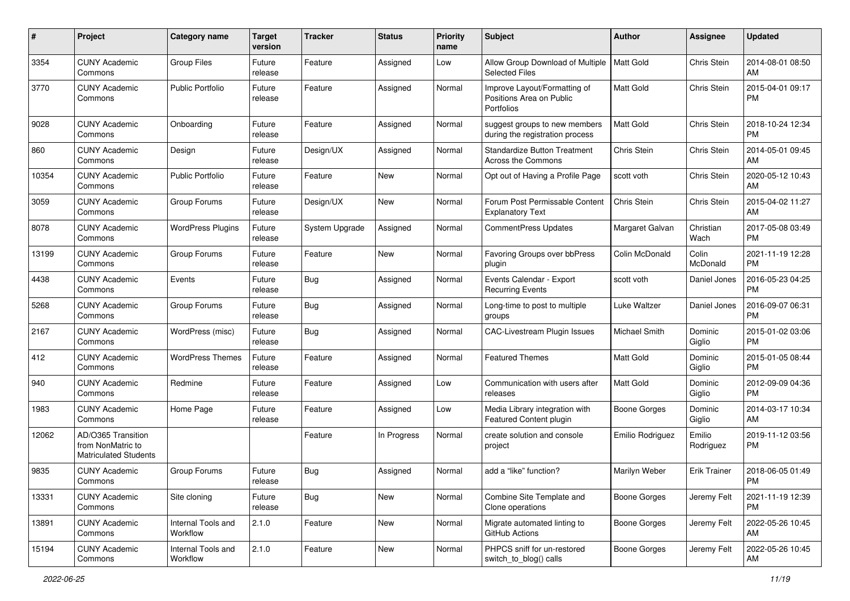| #     | Project                                                                 | <b>Category name</b>           | <b>Target</b><br>version | <b>Tracker</b> | <b>Status</b> | <b>Priority</b><br>name | <b>Subject</b>                                                                | Author              | Assignee            | <b>Updated</b>                |
|-------|-------------------------------------------------------------------------|--------------------------------|--------------------------|----------------|---------------|-------------------------|-------------------------------------------------------------------------------|---------------------|---------------------|-------------------------------|
| 3354  | <b>CUNY Academic</b><br>Commons                                         | <b>Group Files</b>             | Future<br>release        | Feature        | Assigned      | Low                     | Allow Group Download of Multiple<br><b>Selected Files</b>                     | <b>Matt Gold</b>    | Chris Stein         | 2014-08-01 08:50<br>AM        |
| 3770  | <b>CUNY Academic</b><br>Commons                                         | <b>Public Portfolio</b>        | Future<br>release        | Feature        | Assigned      | Normal                  | Improve Layout/Formatting of<br>Positions Area on Public<br><b>Portfolios</b> | <b>Matt Gold</b>    | Chris Stein         | 2015-04-01 09:17<br><b>PM</b> |
| 9028  | <b>CUNY Academic</b><br>Commons                                         | Onboarding                     | Future<br>release        | Feature        | Assigned      | Normal                  | suggest groups to new members<br>during the registration process              | Matt Gold           | Chris Stein         | 2018-10-24 12:34<br><b>PM</b> |
| 860   | <b>CUNY Academic</b><br>Commons                                         | Design                         | Future<br>release        | Design/UX      | Assigned      | Normal                  | <b>Standardize Button Treatment</b><br>Across the Commons                     | Chris Stein         | Chris Stein         | 2014-05-01 09:45<br>AM        |
| 10354 | <b>CUNY Academic</b><br>Commons                                         | <b>Public Portfolio</b>        | Future<br>release        | Feature        | <b>New</b>    | Normal                  | Opt out of Having a Profile Page                                              | scott voth          | Chris Stein         | 2020-05-12 10:43<br>AM        |
| 3059  | <b>CUNY Academic</b><br>Commons                                         | Group Forums                   | Future<br>release        | Design/UX      | <b>New</b>    | Normal                  | Forum Post Permissable Content<br><b>Explanatory Text</b>                     | Chris Stein         | Chris Stein         | 2015-04-02 11:27<br>AM        |
| 8078  | <b>CUNY Academic</b><br>Commons                                         | <b>WordPress Plugins</b>       | Future<br>release        | System Upgrade | Assigned      | Normal                  | <b>CommentPress Updates</b>                                                   | Margaret Galvan     | Christian<br>Wach   | 2017-05-08 03:49<br><b>PM</b> |
| 13199 | <b>CUNY Academic</b><br>Commons                                         | Group Forums                   | Future<br>release        | Feature        | New           | Normal                  | Favoring Groups over bbPress<br>plugin                                        | Colin McDonald      | Colin<br>McDonald   | 2021-11-19 12:28<br><b>PM</b> |
| 4438  | <b>CUNY Academic</b><br>Commons                                         | Events                         | Future<br>release        | <b>Bug</b>     | Assigned      | Normal                  | Events Calendar - Export<br><b>Recurring Events</b>                           | scott voth          | Daniel Jones        | 2016-05-23 04:25<br>PM        |
| 5268  | <b>CUNY Academic</b><br>Commons                                         | Group Forums                   | Future<br>release        | <b>Bug</b>     | Assigned      | Normal                  | Long-time to post to multiple<br>groups                                       | Luke Waltzer        | Daniel Jones        | 2016-09-07 06:31<br><b>PM</b> |
| 2167  | <b>CUNY Academic</b><br>Commons                                         | WordPress (misc)               | Future<br>release        | Bug            | Assigned      | Normal                  | <b>CAC-Livestream Plugin Issues</b>                                           | Michael Smith       | Dominic<br>Giglio   | 2015-01-02 03:06<br><b>PM</b> |
| 412   | <b>CUNY Academic</b><br>Commons                                         | <b>WordPress Themes</b>        | Future<br>release        | Feature        | Assigned      | Normal                  | <b>Featured Themes</b>                                                        | <b>Matt Gold</b>    | Dominic<br>Giglio   | 2015-01-05 08:44<br><b>PM</b> |
| 940   | <b>CUNY Academic</b><br>Commons                                         | Redmine                        | Future<br>release        | Feature        | Assigned      | Low                     | Communication with users after<br>releases                                    | <b>Matt Gold</b>    | Dominic<br>Giglio   | 2012-09-09 04:36<br><b>PM</b> |
| 1983  | <b>CUNY Academic</b><br>Commons                                         | Home Page                      | Future<br>release        | Feature        | Assigned      | Low                     | Media Library integration with<br>Featured Content plugin                     | <b>Boone Gorges</b> | Dominic<br>Giglio   | 2014-03-17 10:34<br>AM        |
| 12062 | AD/O365 Transition<br>from NonMatric to<br><b>Matriculated Students</b> |                                |                          | Feature        | In Progress   | Normal                  | create solution and console<br>project                                        | Emilio Rodriguez    | Emilio<br>Rodriguez | 2019-11-12 03:56<br><b>PM</b> |
| 9835  | <b>CUNY Academic</b><br>Commons                                         | Group Forums                   | Future<br>reiease        | Bug            | Assigned      | Normal                  | add a "like" function?                                                        | Marilyn Weber       | Erik Trainer        | 2018-06-05 01:49<br>PM        |
| 13331 | <b>CUNY Academic</b><br>Commons                                         | Site cloning                   | Future<br>release        | Bug            | New           | Normal                  | Combine Site Template and<br>Clone operations                                 | Boone Gorges        | Jeremy Felt         | 2021-11-19 12:39<br><b>PM</b> |
| 13891 | <b>CUNY Academic</b><br>Commons                                         | Internal Tools and<br>Workflow | 2.1.0                    | Feature        | New           | Normal                  | Migrate automated linting to<br><b>GitHub Actions</b>                         | Boone Gorges        | Jeremy Felt         | 2022-05-26 10:45<br>AM        |
| 15194 | <b>CUNY Academic</b><br>Commons                                         | Internal Tools and<br>Workflow | 2.1.0                    | Feature        | New           | Normal                  | PHPCS sniff for un-restored<br>switch_to_blog() calls                         | <b>Boone Gorges</b> | Jeremy Felt         | 2022-05-26 10:45<br>AM        |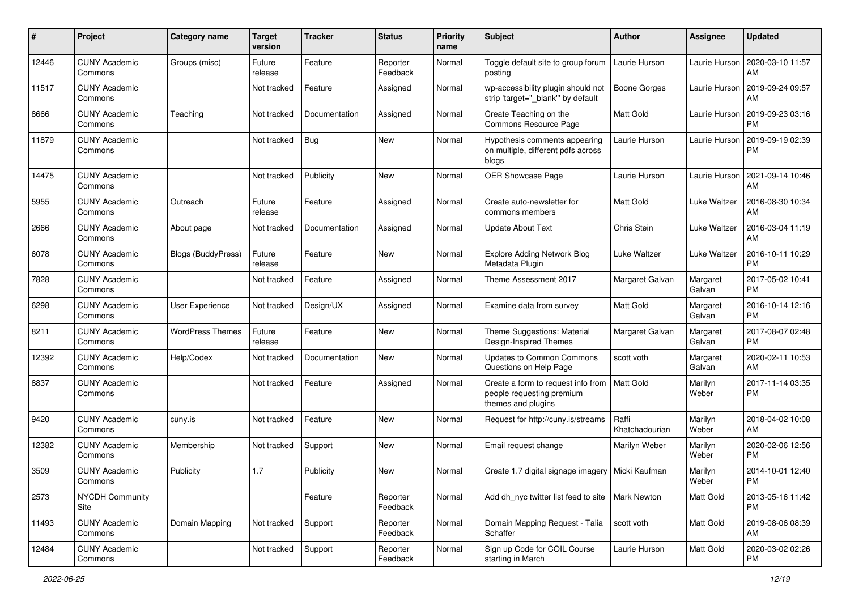| #     | Project                         | Category name           | <b>Target</b><br>version | Tracker       | <b>Status</b>        | <b>Priority</b><br>name | <b>Subject</b>                                                                        | Author                  | Assignee           | <b>Updated</b>                |
|-------|---------------------------------|-------------------------|--------------------------|---------------|----------------------|-------------------------|---------------------------------------------------------------------------------------|-------------------------|--------------------|-------------------------------|
| 12446 | <b>CUNY Academic</b><br>Commons | Groups (misc)           | Future<br>release        | Feature       | Reporter<br>Feedback | Normal                  | Toggle default site to group forum<br>posting                                         | Laurie Hurson           | Laurie Hurson      | 2020-03-10 11:57<br>AM        |
| 11517 | <b>CUNY Academic</b><br>Commons |                         | Not tracked              | Feature       | Assigned             | Normal                  | wp-accessibility plugin should not<br>strip 'target="_blank"' by default              | <b>Boone Gorges</b>     | Laurie Hurson      | 2019-09-24 09:57<br>AM        |
| 8666  | <b>CUNY Academic</b><br>Commons | Teaching                | Not tracked              | Documentation | Assigned             | Normal                  | Create Teaching on the<br>Commons Resource Page                                       | Matt Gold               | Laurie Hurson      | 2019-09-23 03:16<br><b>PM</b> |
| 11879 | <b>CUNY Academic</b><br>Commons |                         | Not tracked              | Bug           | <b>New</b>           | Normal                  | Hypothesis comments appearing<br>on multiple, different pdfs across<br>blogs          | Laurie Hurson           | Laurie Hurson      | 2019-09-19 02:39<br><b>PM</b> |
| 14475 | <b>CUNY Academic</b><br>Commons |                         | Not tracked              | Publicity     | <b>New</b>           | Normal                  | OER Showcase Page                                                                     | Laurie Hurson           | Laurie Hurson      | 2021-09-14 10:46<br>AM        |
| 5955  | <b>CUNY Academic</b><br>Commons | Outreach                | Future<br>release        | Feature       | Assigned             | Normal                  | Create auto-newsletter for<br>commons members                                         | <b>Matt Gold</b>        | Luke Waltzer       | 2016-08-30 10:34<br>AM        |
| 2666  | <b>CUNY Academic</b><br>Commons | About page              | Not tracked              | Documentation | Assigned             | Normal                  | <b>Update About Text</b>                                                              | Chris Stein             | Luke Waltzer       | 2016-03-04 11:19<br>AM        |
| 6078  | <b>CUNY Academic</b><br>Commons | Blogs (BuddyPress)      | Future<br>release        | Feature       | New                  | Normal                  | <b>Explore Adding Network Blog</b><br>Metadata Plugin                                 | Luke Waltzer            | Luke Waltzer       | 2016-10-11 10:29<br><b>PM</b> |
| 7828  | <b>CUNY Academic</b><br>Commons |                         | Not tracked              | Feature       | Assigned             | Normal                  | Theme Assessment 2017                                                                 | Margaret Galvan         | Margaret<br>Galvan | 2017-05-02 10:41<br><b>PM</b> |
| 6298  | <b>CUNY Academic</b><br>Commons | <b>User Experience</b>  | Not tracked              | Design/UX     | Assigned             | Normal                  | Examine data from survey                                                              | <b>Matt Gold</b>        | Margaret<br>Galvan | 2016-10-14 12:16<br><b>PM</b> |
| 8211  | <b>CUNY Academic</b><br>Commons | <b>WordPress Themes</b> | Future<br>release        | Feature       | <b>New</b>           | Normal                  | Theme Suggestions: Material<br>Design-Inspired Themes                                 | Margaret Galvan         | Margaret<br>Galvan | 2017-08-07 02:48<br><b>PM</b> |
| 12392 | <b>CUNY Academic</b><br>Commons | Help/Codex              | Not tracked              | Documentation | New                  | Normal                  | <b>Updates to Common Commons</b><br>Questions on Help Page                            | scott voth              | Margaret<br>Galvan | 2020-02-11 10:53<br>AM        |
| 8837  | <b>CUNY Academic</b><br>Commons |                         | Not tracked              | Feature       | Assigned             | Normal                  | Create a form to request info from<br>people requesting premium<br>themes and plugins | <b>Matt Gold</b>        | Marilyn<br>Weber   | 2017-11-14 03:35<br><b>PM</b> |
| 9420  | <b>CUNY Academic</b><br>Commons | cuny.is                 | Not tracked              | Feature       | <b>New</b>           | Normal                  | Request for http://cuny.is/streams                                                    | Raffi<br>Khatchadourian | Marilyn<br>Weber   | 2018-04-02 10:08<br>AM        |
| 12382 | <b>CUNY Academic</b><br>Commons | Membership              | Not tracked              | Support       | <b>New</b>           | Normal                  | Email request change                                                                  | Marilyn Weber           | Marilyn<br>Weber   | 2020-02-06 12:56<br>PM        |
| 3509  | <b>CUNY Academic</b><br>Commons | Publicity               | 1.7                      | Publicity     | <b>New</b>           | Normal                  | Create 1.7 digital signage imagery   Micki Kaufman                                    |                         | Marilyn<br>Weber   | 2014-10-01 12:40<br>PM        |
| 2573  | <b>NYCDH Community</b><br>Site  |                         |                          | Feature       | Reporter<br>Feedback | Normal                  | Add dh_nyc twitter list feed to site                                                  | Mark Newton             | Matt Gold          | 2013-05-16 11:42<br><b>PM</b> |
| 11493 | <b>CUNY Academic</b><br>Commons | Domain Mapping          | Not tracked              | Support       | Reporter<br>Feedback | Normal                  | Domain Mapping Request - Talia<br>Schaffer                                            | scott voth              | Matt Gold          | 2019-08-06 08:39<br>AM        |
| 12484 | <b>CUNY Academic</b><br>Commons |                         | Not tracked              | Support       | Reporter<br>Feedback | Normal                  | Sign up Code for COIL Course<br>starting in March                                     | Laurie Hurson           | Matt Gold          | 2020-03-02 02:26<br><b>PM</b> |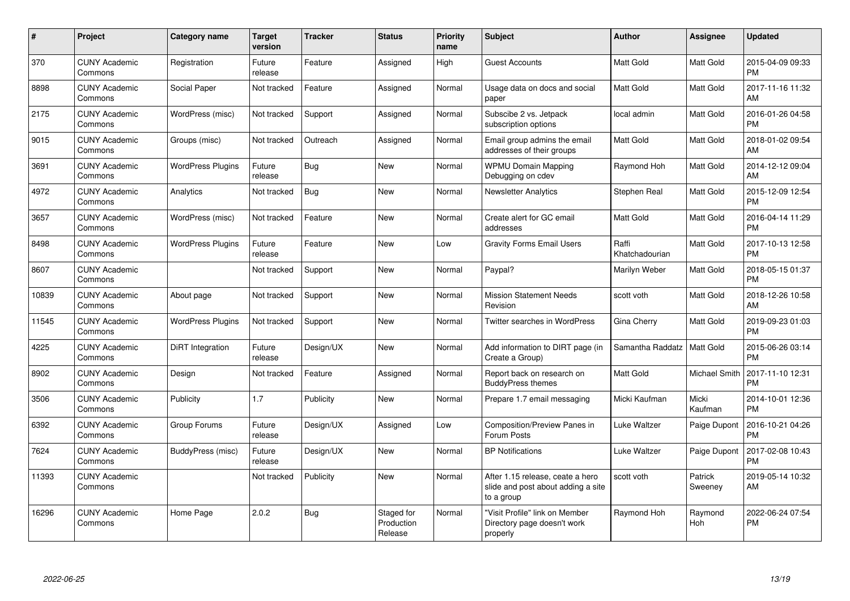| #     | Project                         | Category name            | <b>Target</b><br>version | <b>Tracker</b> | <b>Status</b>                       | <b>Priority</b><br>name | <b>Subject</b>                                                                       | <b>Author</b>           | Assignee           | <b>Updated</b>                |
|-------|---------------------------------|--------------------------|--------------------------|----------------|-------------------------------------|-------------------------|--------------------------------------------------------------------------------------|-------------------------|--------------------|-------------------------------|
| 370   | <b>CUNY Academic</b><br>Commons | Registration             | Future<br>release        | Feature        | Assigned                            | High                    | <b>Guest Accounts</b>                                                                | Matt Gold               | Matt Gold          | 2015-04-09 09:33<br><b>PM</b> |
| 8898  | <b>CUNY Academic</b><br>Commons | Social Paper             | Not tracked              | Feature        | Assigned                            | Normal                  | Usage data on docs and social<br>paper                                               | <b>Matt Gold</b>        | Matt Gold          | 2017-11-16 11:32<br>AM        |
| 2175  | <b>CUNY Academic</b><br>Commons | WordPress (misc)         | Not tracked              | Support        | Assigned                            | Normal                  | Subscibe 2 vs. Jetpack<br>subscription options                                       | local admin             | Matt Gold          | 2016-01-26 04:58<br><b>PM</b> |
| 9015  | <b>CUNY Academic</b><br>Commons | Groups (misc)            | Not tracked              | Outreach       | Assigned                            | Normal                  | Email group admins the email<br>addresses of their groups                            | Matt Gold               | Matt Gold          | 2018-01-02 09:54<br>AM        |
| 3691  | <b>CUNY Academic</b><br>Commons | <b>WordPress Plugins</b> | Future<br>release        | Bug            | New                                 | Normal                  | <b>WPMU Domain Mapping</b><br>Debugging on cdev                                      | Raymond Hoh             | Matt Gold          | 2014-12-12 09:04<br>AM        |
| 4972  | <b>CUNY Academic</b><br>Commons | Analytics                | Not tracked              | <b>Bug</b>     | <b>New</b>                          | Normal                  | <b>Newsletter Analytics</b>                                                          | Stephen Real            | Matt Gold          | 2015-12-09 12:54<br><b>PM</b> |
| 3657  | <b>CUNY Academic</b><br>Commons | WordPress (misc)         | Not tracked              | Feature        | <b>New</b>                          | Normal                  | Create alert for GC email<br>addresses                                               | Matt Gold               | Matt Gold          | 2016-04-14 11:29<br>РM        |
| 8498  | <b>CUNY Academic</b><br>Commons | <b>WordPress Plugins</b> | Future<br>release        | Feature        | <b>New</b>                          | Low                     | <b>Gravity Forms Email Users</b>                                                     | Raffi<br>Khatchadourian | Matt Gold          | 2017-10-13 12:58<br><b>PM</b> |
| 8607  | <b>CUNY Academic</b><br>Commons |                          | Not tracked              | Support        | <b>New</b>                          | Normal                  | Paypal?                                                                              | Marilyn Weber           | Matt Gold          | 2018-05-15 01:37<br><b>PM</b> |
| 10839 | <b>CUNY Academic</b><br>Commons | About page               | Not tracked              | Support        | <b>New</b>                          | Normal                  | <b>Mission Statement Needs</b><br>Revision                                           | scott voth              | Matt Gold          | 2018-12-26 10:58<br>AM        |
| 11545 | <b>CUNY Academic</b><br>Commons | <b>WordPress Plugins</b> | Not tracked              | Support        | <b>New</b>                          | Normal                  | <b>Twitter searches in WordPress</b>                                                 | Gina Cherry             | Matt Gold          | 2019-09-23 01:03<br><b>PM</b> |
| 4225  | <b>CUNY Academic</b><br>Commons | DiRT Integration         | Future<br>release        | Design/UX      | <b>New</b>                          | Normal                  | Add information to DIRT page (in<br>Create a Group)                                  | Samantha Raddatz        | Matt Gold          | 2015-06-26 03:14<br><b>PM</b> |
| 8902  | <b>CUNY Academic</b><br>Commons | Design                   | Not tracked              | Feature        | Assigned                            | Normal                  | Report back on research on<br><b>BuddyPress themes</b>                               | Matt Gold               | Michael Smith      | 2017-11-10 12:31<br>PM        |
| 3506  | <b>CUNY Academic</b><br>Commons | Publicity                | 1.7                      | Publicity      | <b>New</b>                          | Normal                  | Prepare 1.7 email messaging                                                          | Micki Kaufman           | Micki<br>Kaufman   | 2014-10-01 12:36<br><b>PM</b> |
| 6392  | <b>CUNY Academic</b><br>Commons | Group Forums             | Future<br>release        | Design/UX      | Assigned                            | Low                     | Composition/Preview Panes in<br>Forum Posts                                          | Luke Waltzer            | Paige Dupont       | 2016-10-21 04:26<br><b>PM</b> |
| 7624  | <b>CUNY Academic</b><br>Commons | BuddyPress (misc)        | Future<br>release        | Design/UX      | <b>New</b>                          | Normal                  | <b>BP</b> Notifications                                                              | Luke Waltzer            | Paige Dupont       | 2017-02-08 10:43<br>PМ        |
| 11393 | <b>CUNY Academic</b><br>Commons |                          | Not tracked              | Publicity      | <b>New</b>                          | Normal                  | After 1.15 release, ceate a hero<br>slide and post about adding a site<br>to a group | scott voth              | Patrick<br>Sweeney | 2019-05-14 10:32<br>AM        |
| 16296 | <b>CUNY Academic</b><br>Commons | Home Page                | 2.0.2                    | Bug            | Staged for<br>Production<br>Release | Normal                  | "Visit Profile" link on Member<br>Directory page doesn't work<br>properly            | Raymond Hoh             | Raymond<br>Hoh     | 2022-06-24 07:54<br>РM        |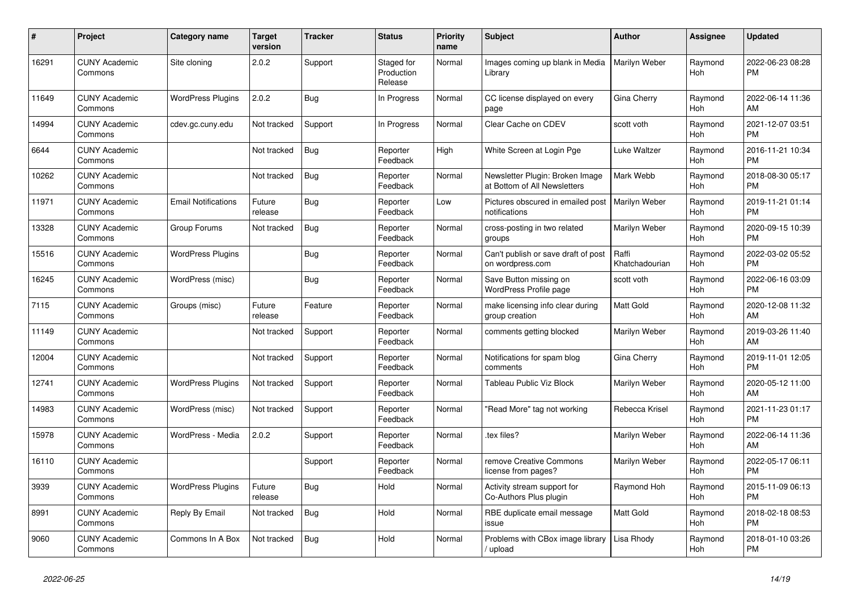| #     | Project                         | <b>Category name</b>       | Target<br>version | <b>Tracker</b> | <b>Status</b>                       | <b>Priority</b><br>name | <b>Subject</b>                                                  | <b>Author</b>           | <b>Assignee</b>       | <b>Updated</b>                |
|-------|---------------------------------|----------------------------|-------------------|----------------|-------------------------------------|-------------------------|-----------------------------------------------------------------|-------------------------|-----------------------|-------------------------------|
| 16291 | <b>CUNY Academic</b><br>Commons | Site cloning               | 2.0.2             | Support        | Staged for<br>Production<br>Release | Normal                  | Images coming up blank in Media<br>Library                      | Marilyn Weber           | Raymond<br><b>Hoh</b> | 2022-06-23 08:28<br><b>PM</b> |
| 11649 | <b>CUNY Academic</b><br>Commons | <b>WordPress Plugins</b>   | 2.0.2             | Bug            | In Progress                         | Normal                  | CC license displayed on every<br>page                           | Gina Cherry             | Raymond<br>Hoh        | 2022-06-14 11:36<br>AM        |
| 14994 | <b>CUNY Academic</b><br>Commons | cdev.gc.cuny.edu           | Not tracked       | Support        | In Progress                         | Normal                  | Clear Cache on CDEV                                             | scott voth              | Raymond<br>Hoh        | 2021-12-07 03:51<br><b>PM</b> |
| 6644  | <b>CUNY Academic</b><br>Commons |                            | Not tracked       | <b>Bug</b>     | Reporter<br>Feedback                | High                    | White Screen at Login Pge                                       | Luke Waltzer            | Raymond<br>Hoh        | 2016-11-21 10:34<br><b>PM</b> |
| 10262 | <b>CUNY Academic</b><br>Commons |                            | Not tracked       | Bug            | Reporter<br>Feedback                | Normal                  | Newsletter Plugin: Broken Image<br>at Bottom of All Newsletters | Mark Webb               | Raymond<br><b>Hoh</b> | 2018-08-30 05:17<br><b>PM</b> |
| 11971 | <b>CUNY Academic</b><br>Commons | <b>Email Notifications</b> | Future<br>release | <b>Bug</b>     | Reporter<br>Feedback                | Low                     | Pictures obscured in emailed post<br>notifications              | Marilyn Weber           | Raymond<br><b>Hoh</b> | 2019-11-21 01:14<br><b>PM</b> |
| 13328 | <b>CUNY Academic</b><br>Commons | Group Forums               | Not tracked       | <b>Bug</b>     | Reporter<br>Feedback                | Normal                  | cross-posting in two related<br>groups                          | Marilyn Weber           | Raymond<br>Hoh        | 2020-09-15 10:39<br><b>PM</b> |
| 15516 | <b>CUNY Academic</b><br>Commons | <b>WordPress Plugins</b>   |                   | <b>Bug</b>     | Reporter<br>Feedback                | Normal                  | Can't publish or save draft of post<br>on wordpress.com         | Raffi<br>Khatchadourian | Raymond<br><b>Hoh</b> | 2022-03-02 05:52<br><b>PM</b> |
| 16245 | <b>CUNY Academic</b><br>Commons | WordPress (misc)           |                   | <b>Bug</b>     | Reporter<br>Feedback                | Normal                  | Save Button missing on<br><b>WordPress Profile page</b>         | scott voth              | Raymond<br><b>Hoh</b> | 2022-06-16 03:09<br><b>PM</b> |
| 7115  | <b>CUNY Academic</b><br>Commons | Groups (misc)              | Future<br>release | Feature        | Reporter<br>Feedback                | Normal                  | make licensing info clear during<br>group creation              | Matt Gold               | Raymond<br>Hoh        | 2020-12-08 11:32<br>AM        |
| 11149 | <b>CUNY Academic</b><br>Commons |                            | Not tracked       | Support        | Reporter<br>Feedback                | Normal                  | comments getting blocked                                        | Marilyn Weber           | Raymond<br>Hoh        | 2019-03-26 11:40<br>AM        |
| 12004 | <b>CUNY Academic</b><br>Commons |                            | Not tracked       | Support        | Reporter<br>Feedback                | Normal                  | Notifications for spam blog<br>comments                         | Gina Cherry             | Raymond<br><b>Hoh</b> | 2019-11-01 12:05<br><b>PM</b> |
| 12741 | <b>CUNY Academic</b><br>Commons | <b>WordPress Plugins</b>   | Not tracked       | Support        | Reporter<br>Feedback                | Normal                  | Tableau Public Viz Block                                        | Marilyn Weber           | Raymond<br>Hoh        | 2020-05-12 11:00<br>AM        |
| 14983 | <b>CUNY Academic</b><br>Commons | WordPress (misc)           | Not tracked       | Support        | Reporter<br>Feedback                | Normal                  | "Read More" tag not working                                     | Rebecca Krisel          | Raymond<br>Hoh        | 2021-11-23 01:17<br><b>PM</b> |
| 15978 | <b>CUNY Academic</b><br>Commons | WordPress - Media          | 2.0.2             | Support        | Reporter<br>Feedback                | Normal                  | .tex files?                                                     | Marilyn Weber           | Raymond<br>Hoh        | 2022-06-14 11:36<br>AM        |
| 16110 | <b>CUNY Academic</b><br>Commons |                            |                   | Support        | Reporter<br>Feedback                | Normal                  | remove Creative Commons<br>license from pages?                  | Marilyn Weber           | Raymond<br>Hoh        | 2022-05-17 06:11<br><b>PM</b> |
| 3939  | <b>CUNY Academic</b><br>Commons | <b>WordPress Plugins</b>   | Future<br>release | Bug            | Hold                                | Normal                  | Activity stream support for<br>Co-Authors Plus plugin           | Raymond Hoh             | Raymond<br>Hoh        | 2015-11-09 06:13<br><b>PM</b> |
| 8991  | <b>CUNY Academic</b><br>Commons | Reply By Email             | Not tracked       | <b>Bug</b>     | Hold                                | Normal                  | RBE duplicate email message<br>issue                            | <b>Matt Gold</b>        | Raymond<br>Hoh        | 2018-02-18 08:53<br><b>PM</b> |
| 9060  | <b>CUNY Academic</b><br>Commons | Commons In A Box           | Not tracked       | Bug            | Hold                                | Normal                  | Problems with CBox image library<br>/ upload                    | Lisa Rhody              | Raymond<br>Hoh        | 2018-01-10 03:26<br><b>PM</b> |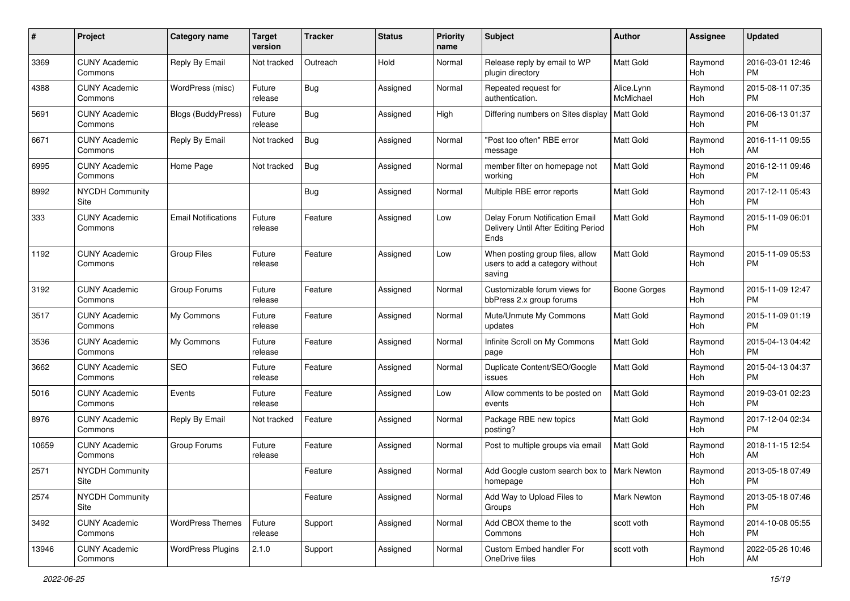| #     | Project                         | <b>Category name</b>       | Target<br>version | <b>Tracker</b> | <b>Status</b> | <b>Priority</b><br>name | <b>Subject</b>                                                                | Author                  | Assignee       | <b>Updated</b>                |
|-------|---------------------------------|----------------------------|-------------------|----------------|---------------|-------------------------|-------------------------------------------------------------------------------|-------------------------|----------------|-------------------------------|
| 3369  | <b>CUNY Academic</b><br>Commons | Reply By Email             | Not tracked       | Outreach       | Hold          | Normal                  | Release reply by email to WP<br>plugin directory                              | <b>Matt Gold</b>        | Raymond<br>Hoh | 2016-03-01 12:46<br><b>PM</b> |
| 4388  | <b>CUNY Academic</b><br>Commons | WordPress (misc)           | Future<br>release | <b>Bug</b>     | Assigned      | Normal                  | Repeated request for<br>authentication.                                       | Alice.Lynn<br>McMichael | Raymond<br>Hoh | 2015-08-11 07:35<br><b>PM</b> |
| 5691  | <b>CUNY Academic</b><br>Commons | <b>Blogs (BuddyPress)</b>  | Future<br>release | <b>Bug</b>     | Assigned      | High                    | Differing numbers on Sites display                                            | <b>Matt Gold</b>        | Raymond<br>Hoh | 2016-06-13 01:37<br><b>PM</b> |
| 6671  | <b>CUNY Academic</b><br>Commons | Reply By Email             | Not tracked       | <b>Bug</b>     | Assigned      | Normal                  | "Post too often" RBE error<br>message                                         | <b>Matt Gold</b>        | Raymond<br>Hoh | 2016-11-11 09:55<br>AM        |
| 6995  | <b>CUNY Academic</b><br>Commons | Home Page                  | Not tracked       | Bug            | Assigned      | Normal                  | member filter on homepage not<br>working                                      | <b>Matt Gold</b>        | Raymond<br>Hoh | 2016-12-11 09:46<br><b>PM</b> |
| 8992  | NYCDH Community<br>Site         |                            |                   | <b>Bug</b>     | Assigned      | Normal                  | Multiple RBE error reports                                                    | Matt Gold               | Raymond<br>Hoh | 2017-12-11 05:43<br><b>PM</b> |
| 333   | <b>CUNY Academic</b><br>Commons | <b>Email Notifications</b> | Future<br>release | Feature        | Assigned      | Low                     | Delay Forum Notification Email<br>Delivery Until After Editing Period<br>Ends | Matt Gold               | Raymond<br>Hoh | 2015-11-09 06:01<br><b>PM</b> |
| 1192  | <b>CUNY Academic</b><br>Commons | <b>Group Files</b>         | Future<br>release | Feature        | Assigned      | Low                     | When posting group files, allow<br>users to add a category without<br>saving  | <b>Matt Gold</b>        | Raymond<br>Hoh | 2015-11-09 05:53<br><b>PM</b> |
| 3192  | <b>CUNY Academic</b><br>Commons | Group Forums               | Future<br>release | Feature        | Assigned      | Normal                  | Customizable forum views for<br>bbPress 2.x group forums                      | <b>Boone Gorges</b>     | Raymond<br>Hoh | 2015-11-09 12:47<br><b>PM</b> |
| 3517  | <b>CUNY Academic</b><br>Commons | My Commons                 | Future<br>release | Feature        | Assigned      | Normal                  | Mute/Unmute My Commons<br>updates                                             | <b>Matt Gold</b>        | Raymond<br>Hoh | 2015-11-09 01:19<br><b>PM</b> |
| 3536  | <b>CUNY Academic</b><br>Commons | My Commons                 | Future<br>release | Feature        | Assigned      | Normal                  | Infinite Scroll on My Commons<br>page                                         | Matt Gold               | Raymond<br>Hoh | 2015-04-13 04:42<br><b>PM</b> |
| 3662  | <b>CUNY Academic</b><br>Commons | <b>SEO</b>                 | Future<br>release | Feature        | Assigned      | Normal                  | Duplicate Content/SEO/Google<br>issues                                        | Matt Gold               | Raymond<br>Hoh | 2015-04-13 04:37<br><b>PM</b> |
| 5016  | <b>CUNY Academic</b><br>Commons | Events                     | Future<br>release | Feature        | Assigned      | Low                     | Allow comments to be posted on<br>events                                      | Matt Gold               | Raymond<br>Hoh | 2019-03-01 02:23<br><b>PM</b> |
| 8976  | <b>CUNY Academic</b><br>Commons | Reply By Email             | Not tracked       | Feature        | Assigned      | Normal                  | Package RBE new topics<br>posting?                                            | Matt Gold               | Raymond<br>Hoh | 2017-12-04 02:34<br><b>PM</b> |
| 10659 | <b>CUNY Academic</b><br>Commons | Group Forums               | Future<br>release | Feature        | Assigned      | Normal                  | Post to multiple groups via email                                             | Matt Gold               | Raymond<br>Hoh | 2018-11-15 12:54<br>AM        |
| 2571  | <b>NYCDH Community</b><br>Site  |                            |                   | Feature        | Assigned      | Normal                  | Add Google custom search box to   Mark Newton<br>homepage                     |                         | Raymond<br>Hoh | 2013-05-18 07:49<br>PM        |
| 2574  | <b>NYCDH Community</b><br>Site  |                            |                   | Feature        | Assigned      | Normal                  | Add Way to Upload Files to<br>Groups                                          | Mark Newton             | Raymond<br>Hoh | 2013-05-18 07:46<br><b>PM</b> |
| 3492  | <b>CUNY Academic</b><br>Commons | <b>WordPress Themes</b>    | Future<br>release | Support        | Assigned      | Normal                  | Add CBOX theme to the<br>Commons                                              | scott voth              | Raymond<br>Hoh | 2014-10-08 05:55<br>PM        |
| 13946 | <b>CUNY Academic</b><br>Commons | <b>WordPress Plugins</b>   | 2.1.0             | Support        | Assigned      | Normal                  | Custom Embed handler For<br>OneDrive files                                    | scott voth              | Raymond<br>Hoh | 2022-05-26 10:46<br>AM        |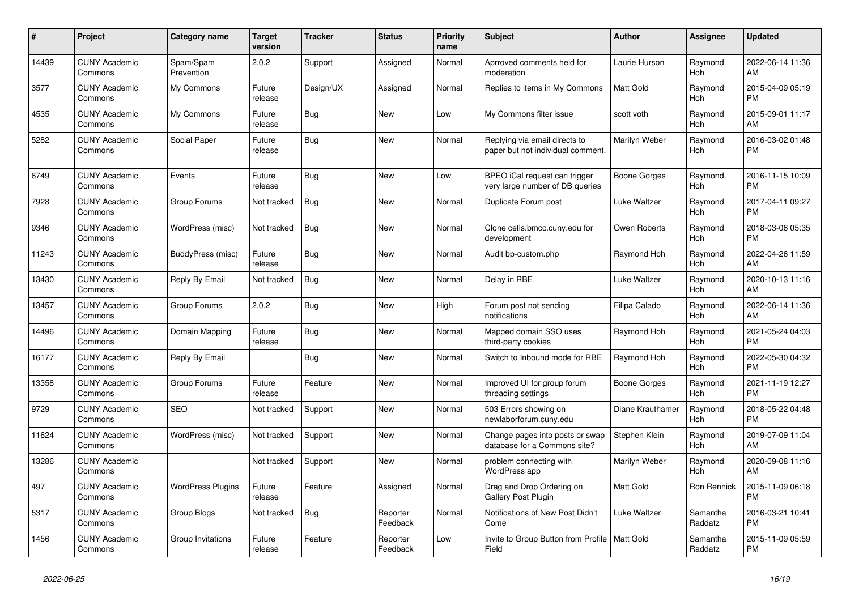| #     | <b>Project</b>                  | <b>Category name</b>     | <b>Target</b><br>version | Tracker    | <b>Status</b>        | <b>Priority</b><br>name | <b>Subject</b>                                                     | <b>Author</b>    | <b>Assignee</b>       | <b>Updated</b>                |
|-------|---------------------------------|--------------------------|--------------------------|------------|----------------------|-------------------------|--------------------------------------------------------------------|------------------|-----------------------|-------------------------------|
| 14439 | <b>CUNY Academic</b><br>Commons | Spam/Spam<br>Prevention  | 2.0.2                    | Support    | Assigned             | Normal                  | Aprroved comments held for<br>moderation                           | Laurie Hurson    | Raymond<br><b>Hoh</b> | 2022-06-14 11:36<br>AM        |
| 3577  | <b>CUNY Academic</b><br>Commons | My Commons               | Future<br>release        | Design/UX  | Assigned             | Normal                  | Replies to items in My Commons                                     | <b>Matt Gold</b> | Raymond<br>Hoh        | 2015-04-09 05:19<br><b>PM</b> |
| 4535  | <b>CUNY Academic</b><br>Commons | My Commons               | Future<br>release        | <b>Bug</b> | <b>New</b>           | Low                     | My Commons filter issue                                            | scott voth       | Raymond<br>Hoh        | 2015-09-01 11:17<br>AM        |
| 5282  | <b>CUNY Academic</b><br>Commons | Social Paper             | Future<br>release        | <b>Bug</b> | <b>New</b>           | Normal                  | Replying via email directs to<br>paper but not individual comment. | Marilyn Weber    | Raymond<br><b>Hoh</b> | 2016-03-02 01:48<br><b>PM</b> |
| 6749  | <b>CUNY Academic</b><br>Commons | Events                   | Future<br>release        | Bug        | <b>New</b>           | Low                     | BPEO iCal request can trigger<br>very large number of DB queries   | Boone Gorges     | Raymond<br>Hoh        | 2016-11-15 10:09<br><b>PM</b> |
| 7928  | <b>CUNY Academic</b><br>Commons | Group Forums             | Not tracked              | <b>Bug</b> | <b>New</b>           | Normal                  | Duplicate Forum post                                               | Luke Waltzer     | Raymond<br>Hoh        | 2017-04-11 09:27<br><b>PM</b> |
| 9346  | <b>CUNY Academic</b><br>Commons | WordPress (misc)         | Not tracked              | <b>Bug</b> | <b>New</b>           | Normal                  | Clone cetls.bmcc.cuny.edu for<br>development                       | Owen Roberts     | Raymond<br>Hoh        | 2018-03-06 05:35<br><b>PM</b> |
| 11243 | <b>CUNY Academic</b><br>Commons | BuddyPress (misc)        | Future<br>release        | <b>Bug</b> | <b>New</b>           | Normal                  | Audit bp-custom.php                                                | Raymond Hoh      | Raymond<br><b>Hoh</b> | 2022-04-26 11:59<br>AM        |
| 13430 | <b>CUNY Academic</b><br>Commons | Reply By Email           | Not tracked              | <b>Bug</b> | <b>New</b>           | Normal                  | Delay in RBE                                                       | Luke Waltzer     | Raymond<br>Hoh        | 2020-10-13 11:16<br>AM        |
| 13457 | <b>CUNY Academic</b><br>Commons | Group Forums             | 2.0.2                    | Bug        | <b>New</b>           | High                    | Forum post not sending<br>notifications                            | Filipa Calado    | Raymond<br>Hoh        | 2022-06-14 11:36<br>AM        |
| 14496 | <b>CUNY Academic</b><br>Commons | Domain Mapping           | Future<br>release        | <b>Bug</b> | <b>New</b>           | Normal                  | Mapped domain SSO uses<br>third-party cookies                      | Raymond Hoh      | Raymond<br><b>Hoh</b> | 2021-05-24 04:03<br><b>PM</b> |
| 16177 | <b>CUNY Academic</b><br>Commons | Reply By Email           |                          | Bug        | New                  | Normal                  | Switch to Inbound mode for RBE                                     | Raymond Hoh      | Raymond<br>Hoh        | 2022-05-30 04:32<br><b>PM</b> |
| 13358 | <b>CUNY Academic</b><br>Commons | Group Forums             | Future<br>release        | Feature    | <b>New</b>           | Normal                  | Improved UI for group forum<br>threading settings                  | Boone Gorges     | Raymond<br>Hoh        | 2021-11-19 12:27<br><b>PM</b> |
| 9729  | <b>CUNY Academic</b><br>Commons | <b>SEO</b>               | Not tracked              | Support    | <b>New</b>           | Normal                  | 503 Errors showing on<br>newlaborforum.cuny.edu                    | Diane Krauthamer | Raymond<br>Hoh        | 2018-05-22 04:48<br><b>PM</b> |
| 11624 | <b>CUNY Academic</b><br>Commons | WordPress (misc)         | Not tracked              | Support    | New                  | Normal                  | Change pages into posts or swap<br>database for a Commons site?    | Stephen Klein    | Raymond<br>Hoh        | 2019-07-09 11:04<br>AM        |
| 13286 | <b>CUNY Academic</b><br>Commons |                          | Not tracked              | Support    | <b>New</b>           | Normal                  | problem connecting with<br><b>WordPress app</b>                    | Marilyn Weber    | Raymond<br><b>Hoh</b> | 2020-09-08 11:16<br>AM        |
| 497   | <b>CUNY Academic</b><br>Commons | <b>WordPress Plugins</b> | Future<br>release        | Feature    | Assigned             | Normal                  | Drag and Drop Ordering on<br><b>Gallery Post Plugin</b>            | <b>Matt Gold</b> | Ron Rennick           | 2015-11-09 06:18<br><b>PM</b> |
| 5317  | <b>CUNY Academic</b><br>Commons | Group Blogs              | Not tracked              | Bug        | Reporter<br>Feedback | Normal                  | Notifications of New Post Didn't<br>Come                           | Luke Waltzer     | Samantha<br>Raddatz   | 2016-03-21 10:41<br><b>PM</b> |
| 1456  | <b>CUNY Academic</b><br>Commons | Group Invitations        | Future<br>release        | Feature    | Reporter<br>Feedback | Low                     | Invite to Group Button from Profile  <br>Field                     | <b>Matt Gold</b> | Samantha<br>Raddatz   | 2015-11-09 05:59<br><b>PM</b> |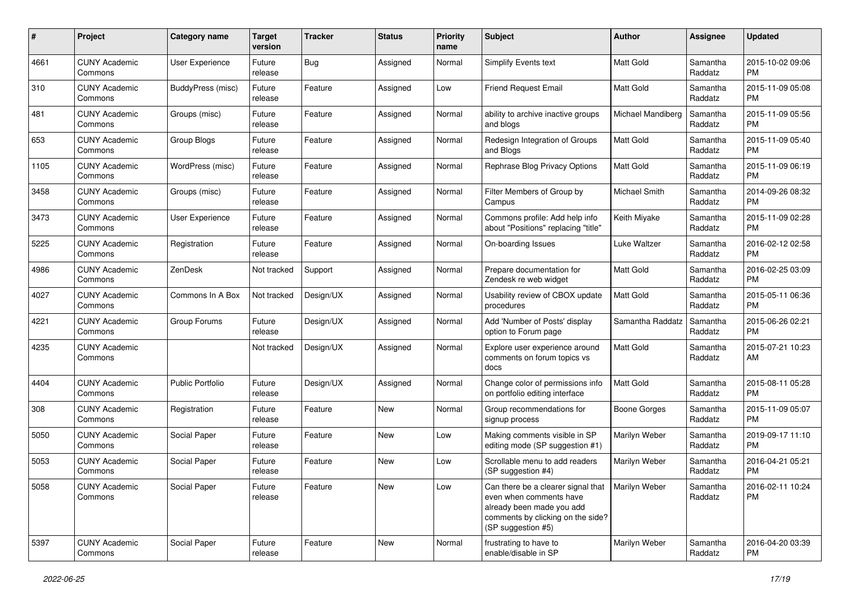| #    | Project                         | <b>Category name</b>    | <b>Target</b><br>version | <b>Tracker</b> | <b>Status</b> | <b>Priority</b><br>name | Subject                                                                                                                                               | Author              | <b>Assignee</b>     | <b>Updated</b>                |
|------|---------------------------------|-------------------------|--------------------------|----------------|---------------|-------------------------|-------------------------------------------------------------------------------------------------------------------------------------------------------|---------------------|---------------------|-------------------------------|
| 4661 | <b>CUNY Academic</b><br>Commons | User Experience         | Future<br>release        | Bug            | Assigned      | Normal                  | Simplify Events text                                                                                                                                  | <b>Matt Gold</b>    | Samantha<br>Raddatz | 2015-10-02 09:06<br><b>PM</b> |
| 310  | <b>CUNY Academic</b><br>Commons | BuddyPress (misc)       | Future<br>release        | Feature        | Assigned      | Low                     | <b>Friend Request Email</b>                                                                                                                           | <b>Matt Gold</b>    | Samantha<br>Raddatz | 2015-11-09 05:08<br><b>PM</b> |
| 481  | <b>CUNY Academic</b><br>Commons | Groups (misc)           | Future<br>release        | Feature        | Assigned      | Normal                  | ability to archive inactive groups<br>and blogs                                                                                                       | Michael Mandiberg   | Samantha<br>Raddatz | 2015-11-09 05:56<br><b>PM</b> |
| 653  | <b>CUNY Academic</b><br>Commons | Group Blogs             | Future<br>release        | Feature        | Assigned      | Normal                  | Redesign Integration of Groups<br>and Blogs                                                                                                           | <b>Matt Gold</b>    | Samantha<br>Raddatz | 2015-11-09 05:40<br><b>PM</b> |
| 1105 | <b>CUNY Academic</b><br>Commons | WordPress (misc)        | Future<br>release        | Feature        | Assigned      | Normal                  | Rephrase Blog Privacy Options                                                                                                                         | <b>Matt Gold</b>    | Samantha<br>Raddatz | 2015-11-09 06:19<br><b>PM</b> |
| 3458 | <b>CUNY Academic</b><br>Commons | Groups (misc)           | Future<br>release        | Feature        | Assigned      | Normal                  | Filter Members of Group by<br>Campus                                                                                                                  | Michael Smith       | Samantha<br>Raddatz | 2014-09-26 08:32<br><b>PM</b> |
| 3473 | <b>CUNY Academic</b><br>Commons | User Experience         | Future<br>release        | Feature        | Assigned      | Normal                  | Commons profile: Add help info<br>about "Positions" replacing "title"                                                                                 | Keith Miyake        | Samantha<br>Raddatz | 2015-11-09 02:28<br><b>PM</b> |
| 5225 | <b>CUNY Academic</b><br>Commons | Registration            | Future<br>release        | Feature        | Assigned      | Normal                  | On-boarding Issues                                                                                                                                    | Luke Waltzer        | Samantha<br>Raddatz | 2016-02-12 02:58<br>PM        |
| 4986 | <b>CUNY Academic</b><br>Commons | ZenDesk                 | Not tracked              | Support        | Assigned      | Normal                  | Prepare documentation for<br>Zendesk re web widget                                                                                                    | <b>Matt Gold</b>    | Samantha<br>Raddatz | 2016-02-25 03:09<br><b>PM</b> |
| 4027 | <b>CUNY Academic</b><br>Commons | Commons In A Box        | Not tracked              | Design/UX      | Assigned      | Normal                  | Usability review of CBOX update<br>procedures                                                                                                         | Matt Gold           | Samantha<br>Raddatz | 2015-05-11 06:36<br><b>PM</b> |
| 4221 | <b>CUNY Academic</b><br>Commons | Group Forums            | Future<br>release        | Design/UX      | Assigned      | Normal                  | Add 'Number of Posts' display<br>option to Forum page                                                                                                 | Samantha Raddatz    | Samantha<br>Raddatz | 2015-06-26 02:21<br><b>PM</b> |
| 4235 | <b>CUNY Academic</b><br>Commons |                         | Not tracked              | Design/UX      | Assigned      | Normal                  | Explore user experience around<br>comments on forum topics vs<br>docs                                                                                 | <b>Matt Gold</b>    | Samantha<br>Raddatz | 2015-07-21 10:23<br>AM        |
| 4404 | <b>CUNY Academic</b><br>Commons | <b>Public Portfolio</b> | Future<br>release        | Design/UX      | Assigned      | Normal                  | Change color of permissions info<br>on portfolio editing interface                                                                                    | <b>Matt Gold</b>    | Samantha<br>Raddatz | 2015-08-11 05:28<br><b>PM</b> |
| 308  | <b>CUNY Academic</b><br>Commons | Registration            | Future<br>release        | Feature        | New           | Normal                  | Group recommendations for<br>signup process                                                                                                           | <b>Boone Gorges</b> | Samantha<br>Raddatz | 2015-11-09 05:07<br><b>PM</b> |
| 5050 | <b>CUNY Academic</b><br>Commons | Social Paper            | Future<br>release        | Feature        | New           | Low                     | Making comments visible in SP<br>editing mode (SP suggestion #1)                                                                                      | Marilyn Weber       | Samantha<br>Raddatz | 2019-09-17 11:10<br><b>PM</b> |
| 5053 | <b>CUNY Academic</b><br>Commons | Social Paper            | Future<br>release        | Feature        | New           | Low                     | Scrollable menu to add readers<br>(SP suggestion #4)                                                                                                  | Marilyn Weber       | Samantha<br>Raddatz | 2016-04-21 05:21<br><b>PM</b> |
| 5058 | <b>CUNY Academic</b><br>Commons | Social Paper            | Future<br>release        | Feature        | New           | Low                     | Can there be a clearer signal that<br>even when comments have<br>already been made you add<br>comments by clicking on the side?<br>(SP suggestion #5) | Marilyn Weber       | Samantha<br>Raddatz | 2016-02-11 10:24<br><b>PM</b> |
| 5397 | <b>CUNY Academic</b><br>Commons | Social Paper            | Future<br>release        | Feature        | New           | Normal                  | frustrating to have to<br>enable/disable in SP                                                                                                        | Marilyn Weber       | Samantha<br>Raddatz | 2016-04-20 03:39<br>PM        |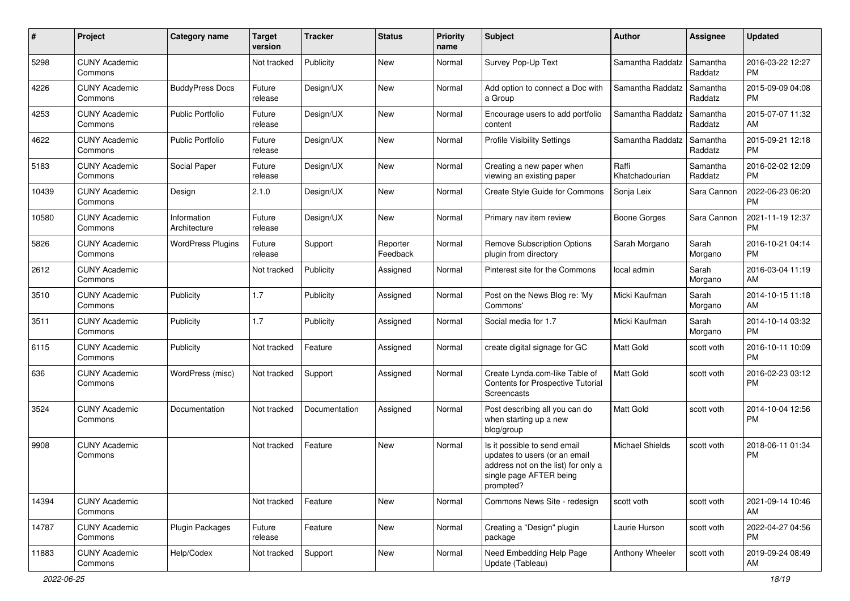| $\#$  | Project                         | Category name               | <b>Target</b><br>version | <b>Tracker</b> | <b>Status</b>        | <b>Priority</b><br>name | Subject                                                                                                                                      | Author                  | <b>Assignee</b>     | <b>Updated</b>                |
|-------|---------------------------------|-----------------------------|--------------------------|----------------|----------------------|-------------------------|----------------------------------------------------------------------------------------------------------------------------------------------|-------------------------|---------------------|-------------------------------|
| 5298  | <b>CUNY Academic</b><br>Commons |                             | Not tracked              | Publicity      | <b>New</b>           | Normal                  | Survey Pop-Up Text                                                                                                                           | Samantha Raddatz        | Samantha<br>Raddatz | 2016-03-22 12:27<br>PM        |
| 4226  | <b>CUNY Academic</b><br>Commons | <b>BuddyPress Docs</b>      | Future<br>release        | Design/UX      | <b>New</b>           | Normal                  | Add option to connect a Doc with<br>a Group                                                                                                  | Samantha Raddatz        | Samantha<br>Raddatz | 2015-09-09 04:08<br>PM        |
| 4253  | <b>CUNY Academic</b><br>Commons | <b>Public Portfolio</b>     | Future<br>release        | Design/UX      | New                  | Normal                  | Encourage users to add portfolio<br>content                                                                                                  | Samantha Raddatz        | Samantha<br>Raddatz | 2015-07-07 11:32<br>AM        |
| 4622  | <b>CUNY Academic</b><br>Commons | <b>Public Portfolio</b>     | Future<br>release        | Design/UX      | <b>New</b>           | Normal                  | <b>Profile Visibility Settings</b>                                                                                                           | Samantha Raddatz        | Samantha<br>Raddatz | 2015-09-21 12:18<br>PM        |
| 5183  | <b>CUNY Academic</b><br>Commons | Social Paper                | Future<br>release        | Design/UX      | New                  | Normal                  | Creating a new paper when<br>viewing an existing paper                                                                                       | Raffi<br>Khatchadourian | Samantha<br>Raddatz | 2016-02-02 12:09<br><b>PM</b> |
| 10439 | <b>CUNY Academic</b><br>Commons | Design                      | 2.1.0                    | Design/UX      | New                  | Normal                  | Create Style Guide for Commons                                                                                                               | Sonja Leix              | Sara Cannon         | 2022-06-23 06:20<br>PM        |
| 10580 | <b>CUNY Academic</b><br>Commons | Information<br>Architecture | Future<br>release        | Design/UX      | New                  | Normal                  | Primary nav item review                                                                                                                      | <b>Boone Gorges</b>     | Sara Cannon         | 2021-11-19 12:37<br><b>PM</b> |
| 5826  | <b>CUNY Academic</b><br>Commons | <b>WordPress Plugins</b>    | Future<br>release        | Support        | Reporter<br>Feedback | Normal                  | <b>Remove Subscription Options</b><br>plugin from directory                                                                                  | Sarah Morgano           | Sarah<br>Morgano    | 2016-10-21 04:14<br>PM        |
| 2612  | <b>CUNY Academic</b><br>Commons |                             | Not tracked              | Publicity      | Assigned             | Normal                  | Pinterest site for the Commons                                                                                                               | local admin             | Sarah<br>Morgano    | 2016-03-04 11:19<br>AM        |
| 3510  | <b>CUNY Academic</b><br>Commons | Publicity                   | 1.7                      | Publicity      | Assigned             | Normal                  | Post on the News Blog re: 'My<br>Commons'                                                                                                    | Micki Kaufman           | Sarah<br>Morgano    | 2014-10-15 11:18<br>AM        |
| 3511  | <b>CUNY Academic</b><br>Commons | Publicity                   | 1.7                      | Publicity      | Assigned             | Normal                  | Social media for 1.7                                                                                                                         | Micki Kaufman           | Sarah<br>Morgano    | 2014-10-14 03:32<br><b>PM</b> |
| 6115  | <b>CUNY Academic</b><br>Commons | Publicity                   | Not tracked              | Feature        | Assigned             | Normal                  | create digital signage for GC                                                                                                                | <b>Matt Gold</b>        | scott voth          | 2016-10-11 10:09<br><b>PM</b> |
| 636   | <b>CUNY Academic</b><br>Commons | WordPress (misc)            | Not tracked              | Support        | Assigned             | Normal                  | Create Lynda.com-like Table of<br>Contents for Prospective Tutorial<br>Screencasts                                                           | <b>Matt Gold</b>        | scott voth          | 2016-02-23 03:12<br><b>PM</b> |
| 3524  | <b>CUNY Academic</b><br>Commons | Documentation               | Not tracked              | Documentation  | Assigned             | Normal                  | Post describing all you can do<br>when starting up a new<br>blog/group                                                                       | <b>Matt Gold</b>        | scott voth          | 2014-10-04 12:56<br><b>PM</b> |
| 9908  | <b>CUNY Academic</b><br>Commons |                             | Not tracked              | Feature        | New                  | Normal                  | Is it possible to send email<br>updates to users (or an email<br>address not on the list) for only a<br>single page AFTER being<br>prompted? | <b>Michael Shields</b>  | scott voth          | 2018-06-11 01:34<br><b>PM</b> |
| 14394 | <b>CUNY Academic</b><br>Commons |                             | Not tracked              | Feature        | New                  | Normal                  | Commons News Site - redesign                                                                                                                 | scott voth              | scott voth          | 2021-09-14 10:46<br>AM        |
| 14787 | <b>CUNY Academic</b><br>Commons | <b>Plugin Packages</b>      | Future<br>release        | Feature        | New                  | Normal                  | Creating a "Design" plugin<br>package                                                                                                        | Laurie Hurson           | scott voth          | 2022-04-27 04:56<br><b>PM</b> |
| 11883 | <b>CUNY Academic</b><br>Commons | Help/Codex                  | Not tracked              | Support        | New                  | Normal                  | Need Embedding Help Page<br>Update (Tableau)                                                                                                 | Anthony Wheeler         | scott voth          | 2019-09-24 08:49<br>AM        |